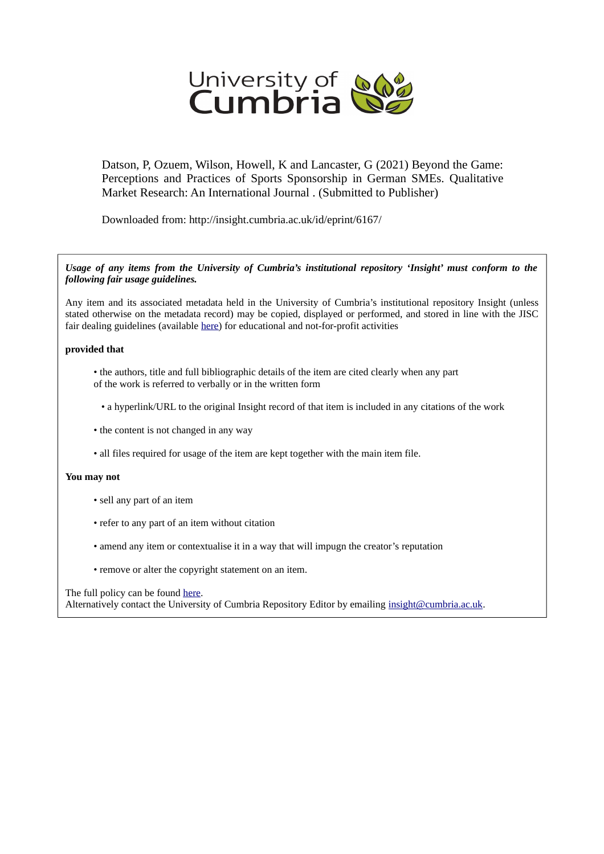

Datson, P, Ozuem, Wilson, Howell, K and Lancaster, G (2021) Beyond the Game: Perceptions and Practices of Sports Sponsorship in German SMEs. Qualitative Market Research: An International Journal . (Submitted to Publisher)

Downloaded from: http://insight.cumbria.ac.uk/id/eprint/6167/

#### *Usage of any items from the University of Cumbria's institutional repository 'Insight' must conform to the following fair usage guidelines.*

Any item and its associated metadata held in the University of Cumbria's institutional repository Insight (unless stated otherwise on the metadata record) may be copied, displayed or performed, and stored in line with the JISC fair dealing guidelines (available [here\)](http://www.ukoln.ac.uk/services/elib/papers/pa/fair/) for educational and not-for-profit activities

### **provided that**

- the authors, title and full bibliographic details of the item are cited clearly when any part of the work is referred to verbally or in the written form
	- a hyperlink/URL to the original Insight record of that item is included in any citations of the work
- the content is not changed in any way
- all files required for usage of the item are kept together with the main item file.

#### **You may not**

- sell any part of an item
- refer to any part of an item without citation
- amend any item or contextualise it in a way that will impugn the creator's reputation
- remove or alter the copyright statement on an item.

#### The full policy can be found [here.](http://insight.cumbria.ac.uk/legal.html#section5)

Alternatively contact the University of Cumbria Repository Editor by emailing [insight@cumbria.ac.uk.](mailto:insight@cumbria.ac.uk)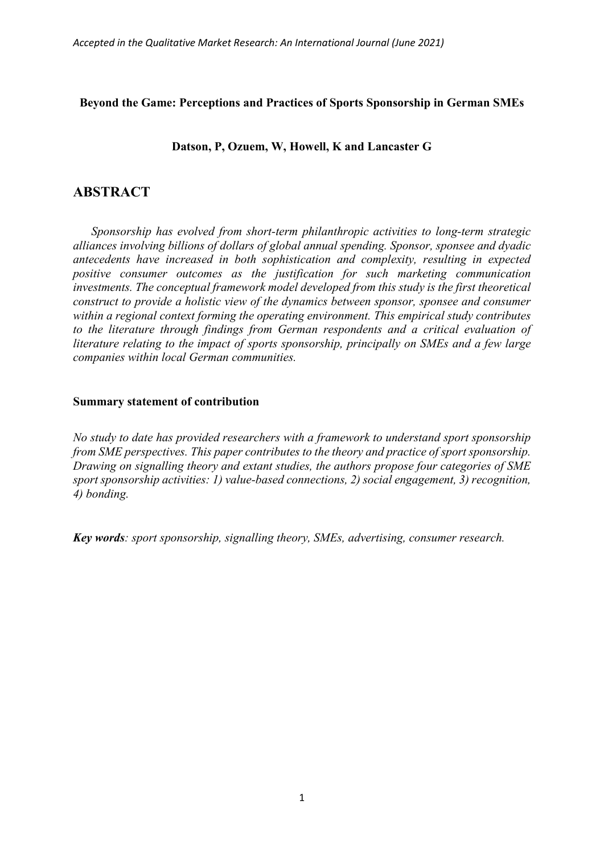# **Beyond the Game: Perceptions and Practices of Sports Sponsorship in German SMEs**

**Datson, P, Ozuem, W, Howell, K and Lancaster G**

# **ABSTRACT**

*Sponsorship has evolved from short-term philanthropic activities to long-term strategic alliances involving billions of dollars of global annual spending. Sponsor, sponsee and dyadic antecedents have increased in both sophistication and complexity, resulting in expected positive consumer outcomes as the justification for such marketing communication investments. The conceptual framework model developed from this study is the first theoretical construct to provide a holistic view of the dynamics between sponsor, sponsee and consumer within a regional context forming the operating environment. This empirical study contributes to the literature through findings from German respondents and a critical evaluation of literature relating to the impact of sports sponsorship, principally on SMEs and a few large companies within local German communities.*

## **Summary statement of contribution**

*No study to date has provided researchers with a framework to understand sport sponsorship from SME perspectives. This paper contributes to the theory and practice of sport sponsorship. Drawing on signalling theory and extant studies, the authors propose four categories of SME sport sponsorship activities: 1) value-based connections, 2) social engagement, 3) recognition, 4) bonding.* 

*Key words: sport sponsorship, signalling theory, SMEs, advertising, consumer research.*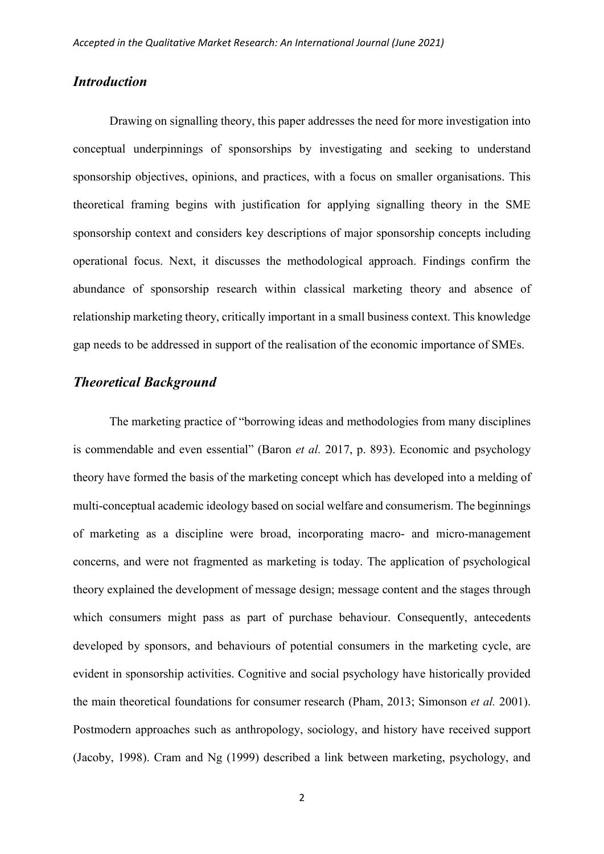# *Introduction*

Drawing on signalling theory, this paper addresses the need for more investigation into conceptual underpinnings of sponsorships by investigating and seeking to understand sponsorship objectives, opinions, and practices, with a focus on smaller organisations. This theoretical framing begins with justification for applying signalling theory in the SME sponsorship context and considers key descriptions of major sponsorship concepts including operational focus. Next, it discusses the methodological approach. Findings confirm the abundance of sponsorship research within classical marketing theory and absence of relationship marketing theory, critically important in a small business context. This knowledge gap needs to be addressed in support of the realisation of the economic importance of SMEs.

## *Theoretical Background*

The marketing practice of "borrowing ideas and methodologies from many disciplines is commendable and even essential" (Baron *et al.* 2017, p. 893). Economic and psychology theory have formed the basis of the marketing concept which has developed into a melding of multi-conceptual academic ideology based on social welfare and consumerism. The beginnings of marketing as a discipline were broad, incorporating macro- and micro-management concerns, and were not fragmented as marketing is today. The application of psychological theory explained the development of message design; message content and the stages through which consumers might pass as part of purchase behaviour. Consequently, antecedents developed by sponsors, and behaviours of potential consumers in the marketing cycle, are evident in sponsorship activities. Cognitive and social psychology have historically provided the main theoretical foundations for consumer research (Pham, 2013; Simonson *et al.* 2001). Postmodern approaches such as anthropology, sociology, and history have received support (Jacoby, 1998). Cram and Ng (1999) described a link between marketing, psychology, and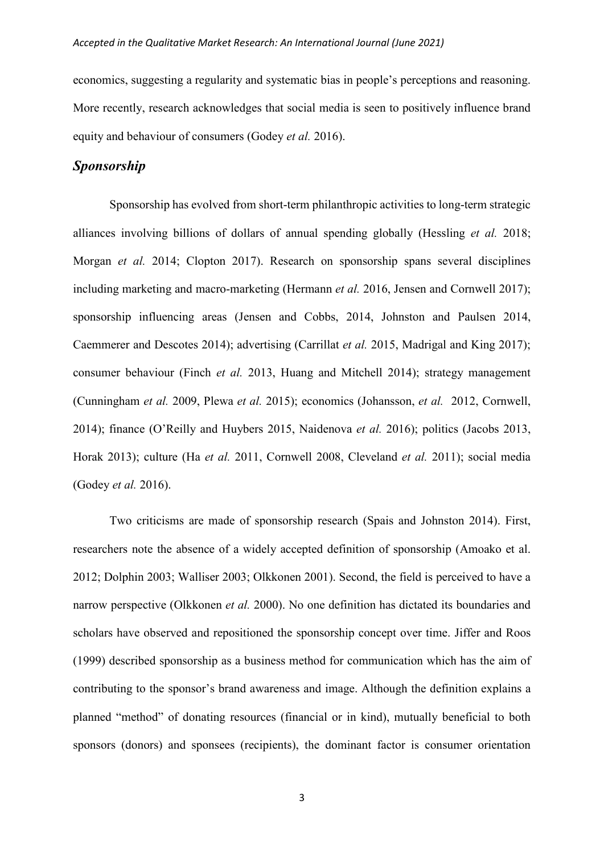economics, suggesting a regularity and systematic bias in people's perceptions and reasoning. More recently, research acknowledges that social media is seen to positively influence brand equity and behaviour of consumers (Godey *et al.* 2016).

# *Sponsorship*

Sponsorship has evolved from short-term philanthropic activities to long-term strategic alliances involving billions of dollars of annual spending globally (Hessling *et al.* 2018; Morgan *et al.* 2014; Clopton 2017). Research on sponsorship spans several disciplines including marketing and macro-marketing (Hermann *et al.* 2016, Jensen and Cornwell 2017); sponsorship influencing areas (Jensen and Cobbs, 2014, Johnston and Paulsen 2014, Caemmerer and Descotes 2014); advertising (Carrillat *et al.* 2015, Madrigal and King 2017); consumer behaviour (Finch *et al.* 2013, Huang and Mitchell 2014); strategy management (Cunningham *et al.* 2009, Plewa *et al.* 2015); economics (Johansson, *et al.* 2012, Cornwell, 2014); finance (O'Reilly and Huybers 2015, Naidenova *et al.* 2016); politics (Jacobs 2013, Horak 2013); culture (Ha *et al.* 2011, Cornwell 2008, Cleveland *et al.* 2011); social media (Godey *et al.* 2016).

Two criticisms are made of sponsorship research (Spais and Johnston 2014). First, researchers note the absence of a widely accepted definition of sponsorship (Amoako et al. 2012; Dolphin 2003; Walliser 2003; Olkkonen 2001). Second, the field is perceived to have a narrow perspective (Olkkonen *et al.* 2000). No one definition has dictated its boundaries and scholars have observed and repositioned the sponsorship concept over time. Jiffer and Roos (1999) described sponsorship as a business method for communication which has the aim of contributing to the sponsor's brand awareness and image. Although the definition explains a planned "method" of donating resources (financial or in kind), mutually beneficial to both sponsors (donors) and sponsees (recipients), the dominant factor is consumer orientation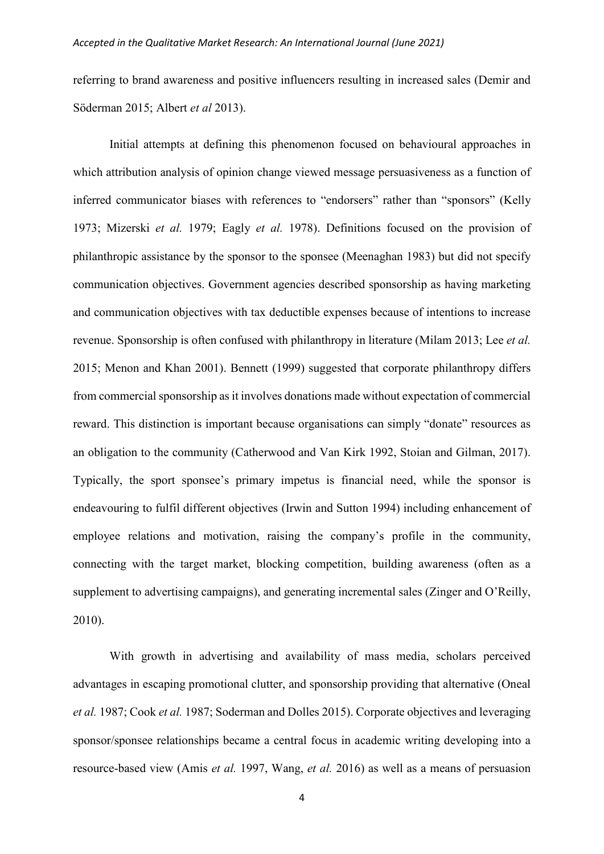referring to brand awareness and positive influencers resulting in increased sales (Demir and Söderman 2015; Albert *et al* 2013).

Initial attempts at defining this phenomenon focused on behavioural approaches in which attribution analysis of opinion change viewed message persuasiveness as a function of inferred communicator biases with references to "endorsers" rather than "sponsors" (Kelly 1973; Mizerski *et al.* 1979; Eagly *et al.* 1978). Definitions focused on the provision of philanthropic assistance by the sponsor to the sponsee (Meenaghan 1983) but did not specify communication objectives. Government agencies described sponsorship as having marketing and communication objectives with tax deductible expenses because of intentions to increase revenue. Sponsorship is often confused with philanthropy in literature (Milam 2013; Lee *et al.* 2015; Menon and Khan 2001). Bennett (1999) suggested that corporate philanthropy differs from commercial sponsorship as it involves donations made without expectation of commercial reward. This distinction is important because organisations can simply "donate" resources as an obligation to the community (Catherwood and Van Kirk 1992, Stoian and Gilman, 2017). Typically, the sport sponsee's primary impetus is financial need, while the sponsor is endeavouring to fulfil different objectives (Irwin and Sutton 1994) including enhancement of employee relations and motivation, raising the company's profile in the community, connecting with the target market, blocking competition, building awareness (often as a supplement to advertising campaigns), and generating incremental sales (Zinger and O'Reilly, 2010).

With growth in advertising and availability of mass media, scholars perceived advantages in escaping promotional clutter, and sponsorship providing that alternative (Oneal *et al.* 1987; Cook *et al.* 1987; Soderman and Dolles 2015). Corporate objectives and leveraging sponsor/sponsee relationships became a central focus in academic writing developing into a resource-based view (Amis *et al.* 1997, Wang, *et al.* 2016) as well as a means of persuasion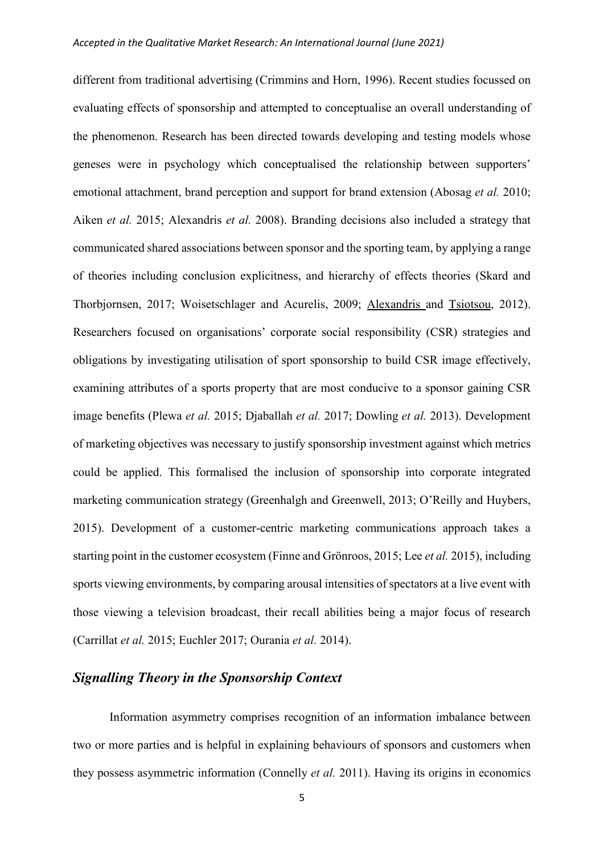different from traditional advertising (Crimmins and Horn, 1996). Recent studies focussed on evaluating effects of sponsorship and attempted to conceptualise an overall understanding of the phenomenon. Research has been directed towards developing and testing models whose geneses were in psychology which conceptualised the relationship between supporters' emotional attachment, brand perception and support for brand extension (Abosag *et al.* 2010; Aiken *et al.* 2015; Alexandris *et al.* 2008). Branding decisions also included a strategy that communicated shared associations between sponsor and the sporting team, by applying a range of theories including conclusion explicitness, and hierarchy of effects theories (Skard and Thorbjornsen, 2017; Woisetschlager and Acurelis, 2009; [Alexandris a](about:blank)nd [Tsiotsou,](about:blank) 2012). Researchers focused on organisations' corporate social responsibility (CSR) strategies and obligations by investigating utilisation of sport sponsorship to build CSR image effectively, examining attributes of a sports property that are most conducive to a sponsor gaining CSR image benefits (Plewa *et al.* 2015; Djaballah *et al.* 2017; Dowling *et al.* 2013). Development of marketing objectives was necessary to justify sponsorship investment against which metrics could be applied. This formalised the inclusion of sponsorship into corporate integrated marketing communication strategy (Greenhalgh and Greenwell, 2013; O'Reilly and Huybers, 2015). Development of a customer-centric marketing communications approach takes a starting point in the customer ecosystem (Finne and Grönroos, 2015; Lee *et al.* 2015), including sports viewing environments, by comparing arousal intensities of spectators at a live event with those viewing a television broadcast, their recall abilities being a major focus of research (Carrillat *et al.* 2015; Euchler 2017; Ourania *et al.* 2014).

# *Signalling Theory in the Sponsorship Context*

Information asymmetry comprises recognition of an information imbalance between two or more parties and is helpful in explaining behaviours of sponsors and customers when they possess asymmetric information (Connelly *et al.* 2011). Having its origins in economics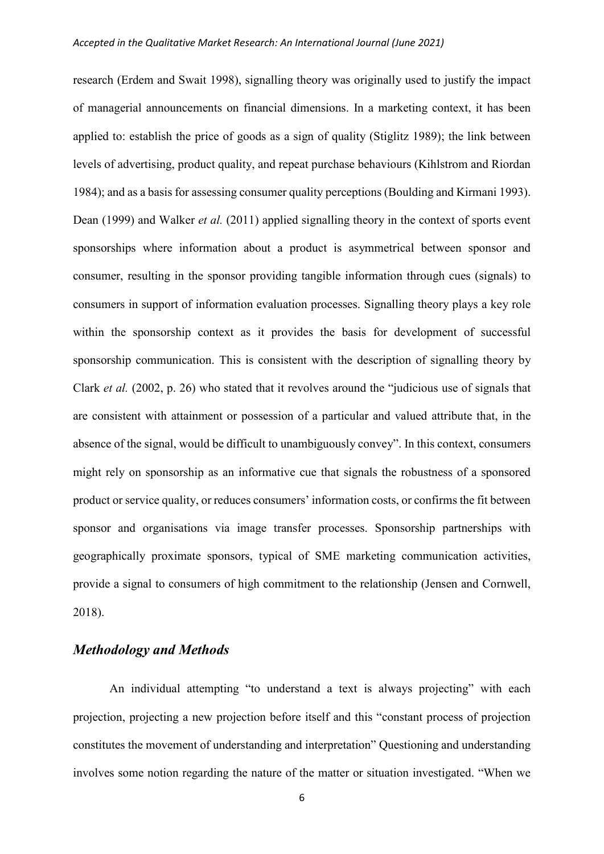research (Erdem and Swait 1998), signalling theory was originally used to justify the impact of managerial announcements on financial dimensions. In a marketing context, it has been applied to: establish the price of goods as a sign of quality (Stiglitz 1989); the link between levels of advertising, product quality, and repeat purchase behaviours (Kihlstrom and Riordan 1984); and as a basis for assessing consumer quality perceptions (Boulding and Kirmani 1993). Dean (1999) and Walker *et al.* (2011) applied signalling theory in the context of sports event sponsorships where information about a product is asymmetrical between sponsor and consumer, resulting in the sponsor providing tangible information through cues (signals) to consumers in support of information evaluation processes. Signalling theory plays a key role within the sponsorship context as it provides the basis for development of successful sponsorship communication. This is consistent with the description of signalling theory by Clark *et al.* (2002, p. 26) who stated that it revolves around the "judicious use of signals that are consistent with attainment or possession of a particular and valued attribute that, in the absence of the signal, would be difficult to unambiguously convey". In this context, consumers might rely on sponsorship as an informative cue that signals the robustness of a sponsored product or service quality, or reduces consumers' information costs, or confirms the fit between sponsor and organisations via image transfer processes. Sponsorship partnerships with geographically proximate sponsors, typical of SME marketing communication activities, provide a signal to consumers of high commitment to the relationship (Jensen and Cornwell, 2018).

# *Methodology and Methods*

An individual attempting "to understand a text is always projecting" with each projection, projecting a new projection before itself and this "constant process of projection constitutes the movement of understanding and interpretation" Questioning and understanding involves some notion regarding the nature of the matter or situation investigated. "When we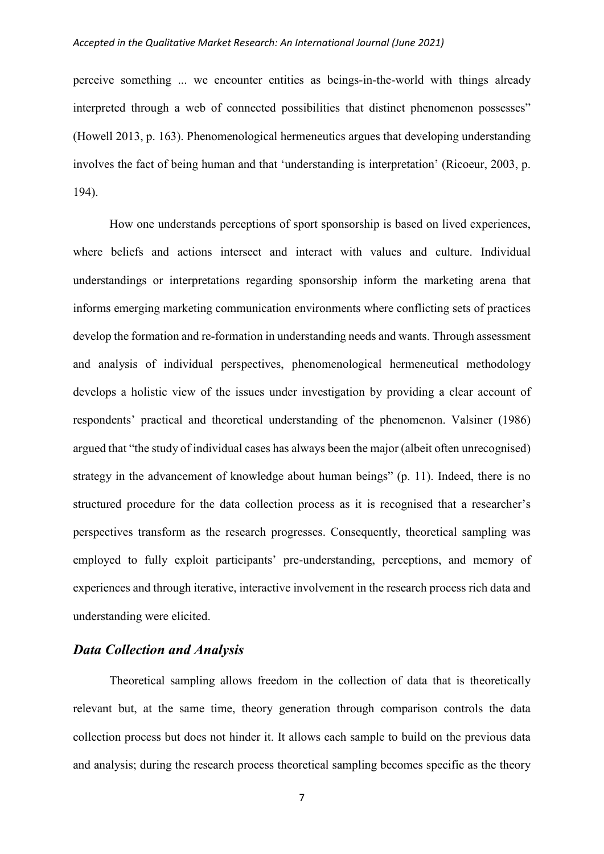perceive something ... we encounter entities as beings-in-the-world with things already interpreted through a web of connected possibilities that distinct phenomenon possesses" (Howell 2013, p. 163). Phenomenological hermeneutics argues that developing understanding involves the fact of being human and that 'understanding is interpretation' (Ricoeur, 2003, p. 194).

How one understands perceptions of sport sponsorship is based on lived experiences, where beliefs and actions intersect and interact with values and culture. Individual understandings or interpretations regarding sponsorship inform the marketing arena that informs emerging marketing communication environments where conflicting sets of practices develop the formation and re-formation in understanding needs and wants. Through assessment and analysis of individual perspectives, phenomenological hermeneutical methodology develops a holistic view of the issues under investigation by providing a clear account of respondents' practical and theoretical understanding of the phenomenon. Valsiner (1986) argued that "the study of individual cases has always been the major (albeit often unrecognised) strategy in the advancement of knowledge about human beings" (p. 11). Indeed, there is no structured procedure for the data collection process as it is recognised that a researcher's perspectives transform as the research progresses. Consequently, theoretical sampling was employed to fully exploit participants' pre-understanding, perceptions, and memory of experiences and through iterative, interactive involvement in the research process rich data and understanding were elicited.

# *Data Collection and Analysis*

Theoretical sampling allows freedom in the collection of data that is theoretically relevant but, at the same time, theory generation through comparison controls the data collection process but does not hinder it. It allows each sample to build on the previous data and analysis; during the research process theoretical sampling becomes specific as the theory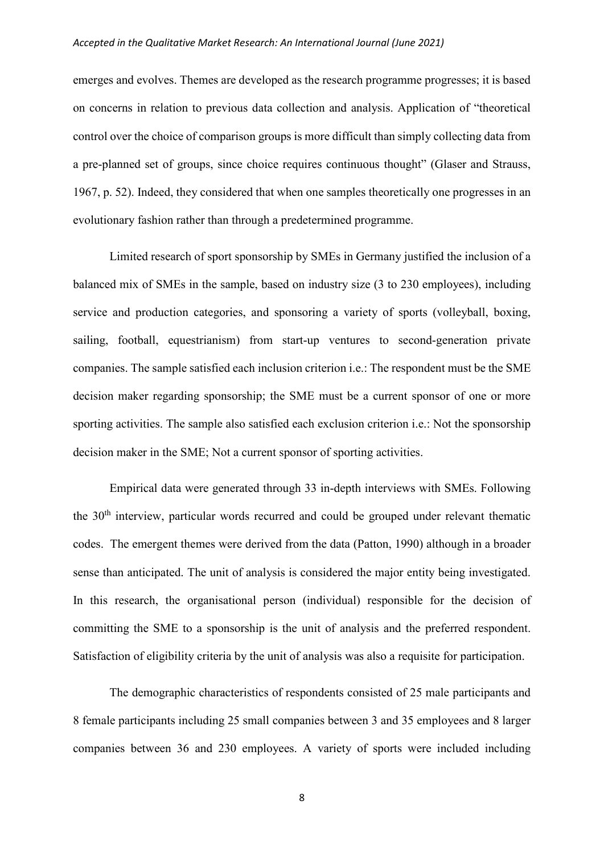emerges and evolves. Themes are developed as the research programme progresses; it is based on concerns in relation to previous data collection and analysis. Application of "theoretical control over the choice of comparison groups is more difficult than simply collecting data from a pre-planned set of groups, since choice requires continuous thought" (Glaser and Strauss, 1967, p. 52). Indeed, they considered that when one samples theoretically one progresses in an evolutionary fashion rather than through a predetermined programme.

Limited research of sport sponsorship by SMEs in Germany justified the inclusion of a balanced mix of SMEs in the sample, based on industry size (3 to 230 employees), including service and production categories, and sponsoring a variety of sports (volleyball, boxing, sailing, football, equestrianism) from start-up ventures to second-generation private companies. The sample satisfied each inclusion criterion i.e.: The respondent must be the SME decision maker regarding sponsorship; the SME must be a current sponsor of one or more sporting activities. The sample also satisfied each exclusion criterion i.e.: Not the sponsorship decision maker in the SME; Not a current sponsor of sporting activities.

Empirical data were generated through 33 in-depth interviews with SMEs. Following the  $30<sup>th</sup>$  interview, particular words recurred and could be grouped under relevant thematic codes. The emergent themes were derived from the data (Patton, 1990) although in a broader sense than anticipated. The unit of analysis is considered the major entity being investigated. In this research, the organisational person (individual) responsible for the decision of committing the SME to a sponsorship is the unit of analysis and the preferred respondent. Satisfaction of eligibility criteria by the unit of analysis was also a requisite for participation.

The demographic characteristics of respondents consisted of 25 male participants and 8 female participants including 25 small companies between 3 and 35 employees and 8 larger companies between 36 and 230 employees. A variety of sports were included including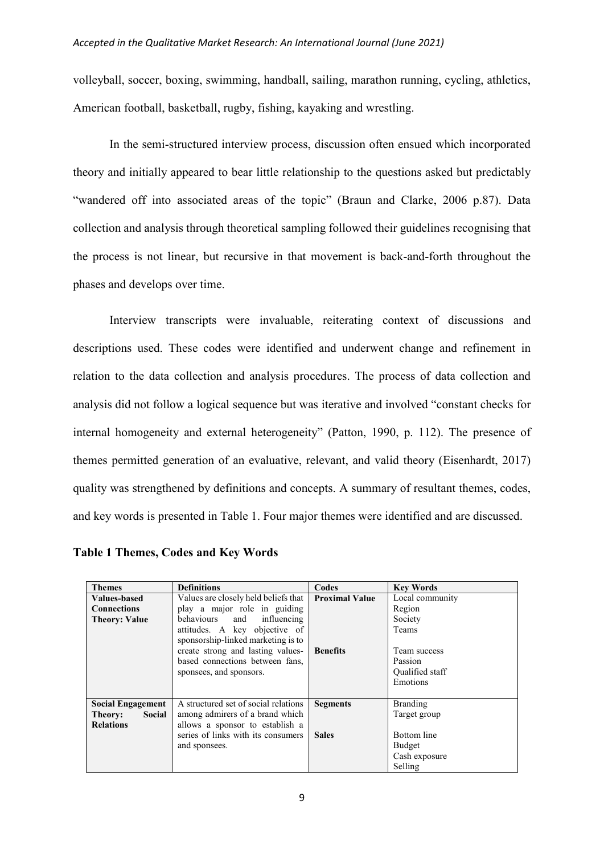volleyball, soccer, boxing, swimming, handball, sailing, marathon running, cycling, athletics, American football, basketball, rugby, fishing, kayaking and wrestling.

In the semi-structured interview process, discussion often ensued which incorporated theory and initially appeared to bear little relationship to the questions asked but predictably "wandered off into associated areas of the topic" (Braun and Clarke, 2006 p.87). Data collection and analysis through theoretical sampling followed their guidelines recognising that the process is not linear, but recursive in that movement is back-and-forth throughout the phases and develops over time.

Interview transcripts were invaluable, reiterating context of discussions and descriptions used. These codes were identified and underwent change and refinement in relation to the data collection and analysis procedures. The process of data collection and analysis did not follow a logical sequence but was iterative and involved "constant checks for internal homogeneity and external heterogeneity" (Patton, 1990, p. 112). The presence of themes permitted generation of an evaluative, relevant, and valid theory (Eisenhardt, 2017) quality was strengthened by definitions and concepts. A summary of resultant themes, codes, and key words is presented in Table 1. Four major themes were identified and are discussed.

| <b>Themes</b>            | <b>Definitions</b>                   | Codes                 | <b>Key Words</b> |
|--------------------------|--------------------------------------|-----------------------|------------------|
| <b>Values-based</b>      | Values are closely held beliefs that | <b>Proximal Value</b> | Local community  |
| <b>Connections</b>       | play a major role in guiding         |                       | Region           |
| <b>Theory: Value</b>     | behaviours and influencing           |                       | Society          |
|                          | attitudes. A key objective of        |                       | <b>Teams</b>     |
|                          | sponsorship-linked marketing is to   |                       |                  |
|                          | create strong and lasting values-    | <b>Benefits</b>       | Team success     |
|                          | based connections between fans,      |                       | Passion          |
|                          | sponsees, and sponsors.              |                       | Qualified staff  |
|                          |                                      |                       | Emotions         |
|                          |                                      |                       |                  |
| <b>Social Engagement</b> | A structured set of social relations | <b>Segments</b>       | <b>Branding</b>  |
| Social<br>Theory:        | among admirers of a brand which      |                       | Target group     |
| <b>Relations</b>         | allows a sponsor to establish a      |                       |                  |
|                          | series of links with its consumers   | <b>Sales</b>          | Bottom line      |
|                          | and sponsees.                        |                       | Budget           |
|                          |                                      |                       | Cash exposure    |
|                          |                                      |                       | Selling          |

**Table 1 Themes, Codes and Key Words**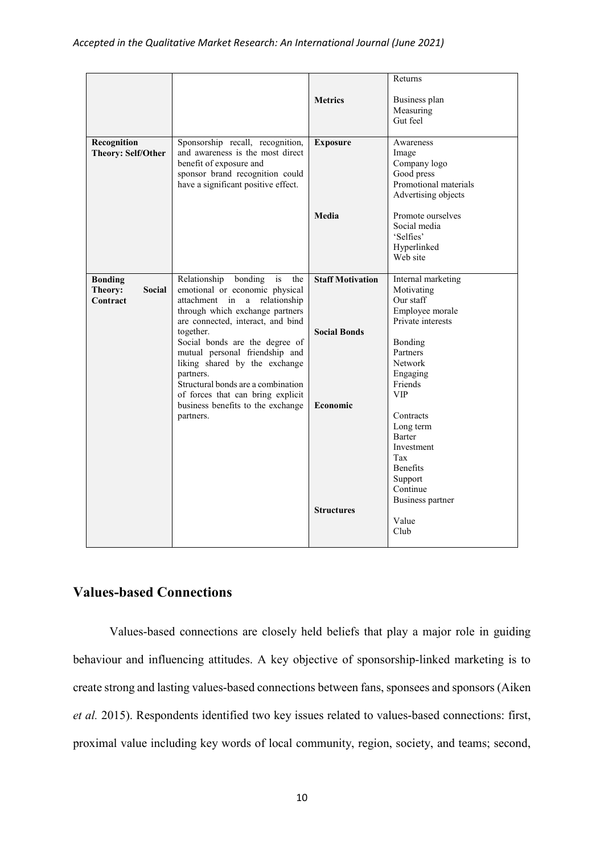|                                                 |                                                                                                                                                                                                                                                                                                                                                                                                                                                  |                                                                                        | Returns                                                                                                                                                                                                                                                                                              |
|-------------------------------------------------|--------------------------------------------------------------------------------------------------------------------------------------------------------------------------------------------------------------------------------------------------------------------------------------------------------------------------------------------------------------------------------------------------------------------------------------------------|----------------------------------------------------------------------------------------|------------------------------------------------------------------------------------------------------------------------------------------------------------------------------------------------------------------------------------------------------------------------------------------------------|
|                                                 |                                                                                                                                                                                                                                                                                                                                                                                                                                                  | <b>Metrics</b>                                                                         | Business plan<br>Measuring<br>Gut feel                                                                                                                                                                                                                                                               |
| Recognition<br><b>Theory: Self/Other</b>        | Sponsorship recall, recognition,<br>and awareness is the most direct<br>benefit of exposure and<br>sponsor brand recognition could<br>have a significant positive effect.                                                                                                                                                                                                                                                                        | <b>Exposure</b>                                                                        | Awareness<br>Image<br>Company logo<br>Good press<br>Promotional materials<br>Advertising objects                                                                                                                                                                                                     |
|                                                 |                                                                                                                                                                                                                                                                                                                                                                                                                                                  | Media                                                                                  | Promote ourselves<br>Social media<br>'Selfies'<br>Hyperlinked<br>Web site                                                                                                                                                                                                                            |
| <b>Bonding</b><br>Theory:<br>Social<br>Contract | Relationship<br>bonding<br>is<br>the<br>emotional or economic physical<br>attachment in<br>a<br>relationship<br>through which exchange partners<br>are connected, interact, and bind<br>together.<br>Social bonds are the degree of<br>mutual personal friendship and<br>liking shared by the exchange<br>partners.<br>Structural bonds are a combination<br>of forces that can bring explicit<br>business benefits to the exchange<br>partners. | <b>Staff Motivation</b><br><b>Social Bonds</b><br><b>Economic</b><br><b>Structures</b> | Internal marketing<br>Motivating<br>Our staff<br>Employee morale<br>Private interests<br>Bonding<br>Partners<br><b>Network</b><br>Engaging<br>Friends<br><b>VIP</b><br>Contracts<br>Long term<br>Barter<br>Investment<br>Tax<br>Benefits<br>Support<br>Continue<br>Business partner<br>Value<br>Club |

# **Values-based Connections**

Values-based connections are closely held beliefs that play a major role in guiding behaviour and influencing attitudes. A key objective of sponsorship-linked marketing is to create strong and lasting values-based connections between fans, sponsees and sponsors (Aiken *et al.* 2015). Respondents identified two key issues related to values-based connections: first, proximal value including key words of local community, region, society, and teams; second,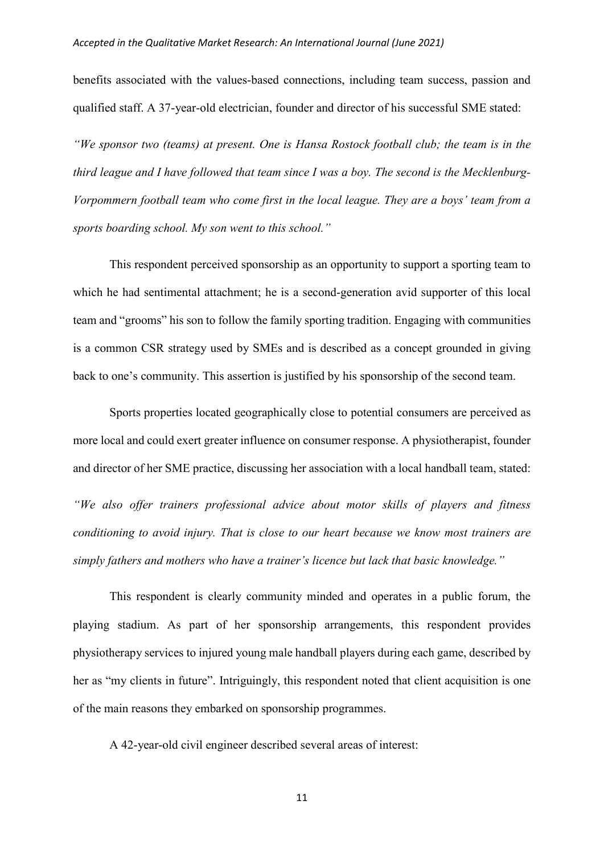benefits associated with the values-based connections, including team success, passion and qualified staff. A 37-year-old electrician, founder and director of his successful SME stated:

*"We sponsor two (teams) at present. One is Hansa Rostock football club; the team is in the third league and I have followed that team since I was a boy. The second is the Mecklenburg-Vorpommern football team who come first in the local league. They are a boys' team from a sports boarding school. My son went to this school."*

This respondent perceived sponsorship as an opportunity to support a sporting team to which he had sentimental attachment; he is a second-generation avid supporter of this local team and "grooms" his son to follow the family sporting tradition. Engaging with communities is a common CSR strategy used by SMEs and is described as a concept grounded in giving back to one's community. This assertion is justified by his sponsorship of the second team.

Sports properties located geographically close to potential consumers are perceived as more local and could exert greater influence on consumer response. A physiotherapist, founder and director of her SME practice, discussing her association with a local handball team, stated: *"We also offer trainers professional advice about motor skills of players and fitness* 

*conditioning to avoid injury. That is close to our heart because we know most trainers are simply fathers and mothers who have a trainer's licence but lack that basic knowledge."*

This respondent is clearly community minded and operates in a public forum, the playing stadium. As part of her sponsorship arrangements, this respondent provides physiotherapy services to injured young male handball players during each game, described by her as "my clients in future". Intriguingly, this respondent noted that client acquisition is one of the main reasons they embarked on sponsorship programmes.

A 42-year-old civil engineer described several areas of interest: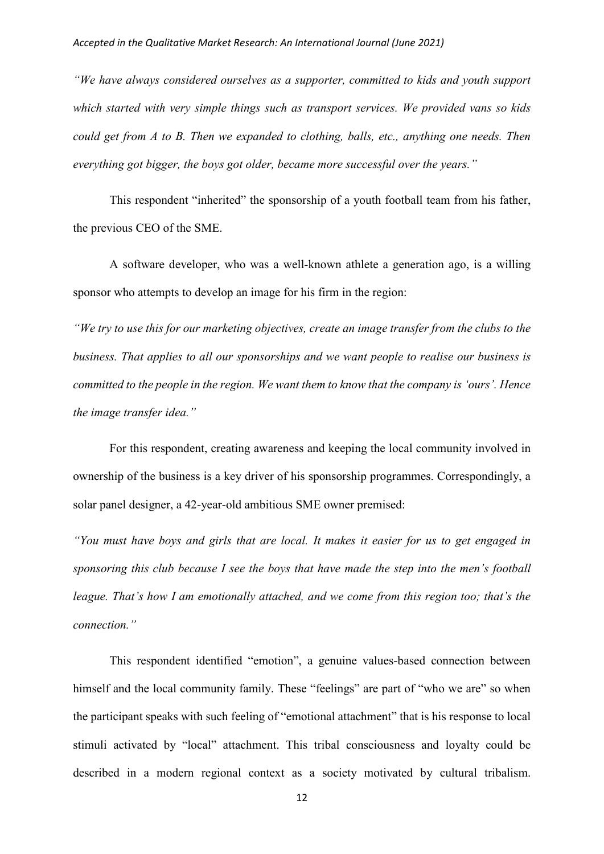*"We have always considered ourselves as a supporter, committed to kids and youth support which started with very simple things such as transport services. We provided vans so kids could get from A to B. Then we expanded to clothing, balls, etc., anything one needs. Then everything got bigger, the boys got older, became more successful over the years."*

This respondent "inherited" the sponsorship of a youth football team from his father, the previous CEO of the SME.

A software developer, who was a well-known athlete a generation ago, is a willing sponsor who attempts to develop an image for his firm in the region:

*"We try to use this for our marketing objectives, create an image transfer from the clubs to the business. That applies to all our sponsorships and we want people to realise our business is committed to the people in the region. We want them to know that the company is 'ours'. Hence the image transfer idea."*

For this respondent, creating awareness and keeping the local community involved in ownership of the business is a key driver of his sponsorship programmes. Correspondingly, a solar panel designer, a 42-year-old ambitious SME owner premised:

*"You must have boys and girls that are local. It makes it easier for us to get engaged in sponsoring this club because I see the boys that have made the step into the men's football league. That's how I am emotionally attached, and we come from this region too; that's the connection."*

This respondent identified "emotion", a genuine values-based connection between himself and the local community family. These "feelings" are part of "who we are" so when the participant speaks with such feeling of "emotional attachment" that is his response to local stimuli activated by "local" attachment. This tribal consciousness and loyalty could be described in a modern regional context as a society motivated by cultural tribalism.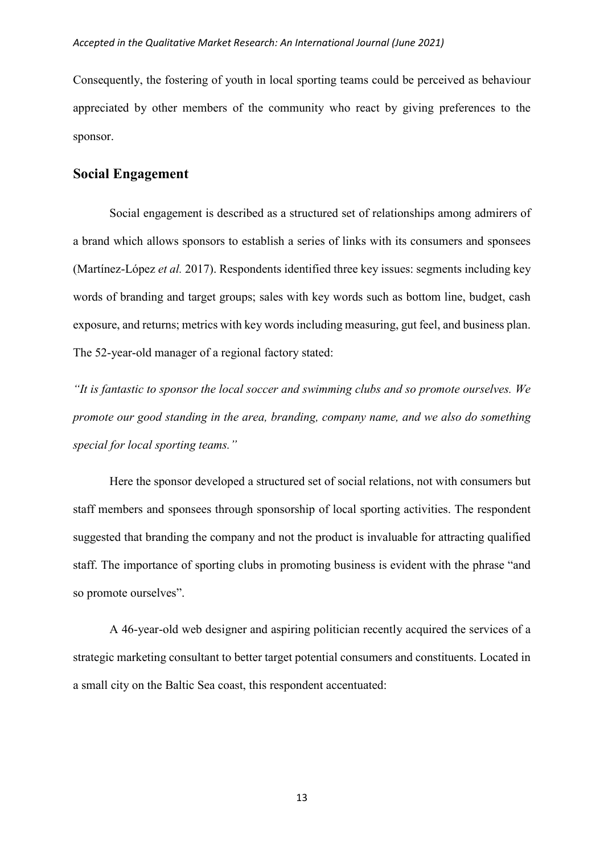Consequently, the fostering of youth in local sporting teams could be perceived as behaviour appreciated by other members of the community who react by giving preferences to the sponsor.

# **Social Engagement**

Social engagement is described as a structured set of relationships among admirers of a brand which allows sponsors to establish a series of links with its consumers and sponsees (Martínez-López *et al.* 2017). Respondents identified three key issues: segments including key words of branding and target groups; sales with key words such as bottom line, budget, cash exposure, and returns; metrics with key words including measuring, gut feel, and business plan. The 52-year-old manager of a regional factory stated:

*"It is fantastic to sponsor the local soccer and swimming clubs and so promote ourselves. We promote our good standing in the area, branding, company name, and we also do something special for local sporting teams."*

Here the sponsor developed a structured set of social relations, not with consumers but staff members and sponsees through sponsorship of local sporting activities. The respondent suggested that branding the company and not the product is invaluable for attracting qualified staff. The importance of sporting clubs in promoting business is evident with the phrase "and so promote ourselves".

A 46-year-old web designer and aspiring politician recently acquired the services of a strategic marketing consultant to better target potential consumers and constituents. Located in a small city on the Baltic Sea coast, this respondent accentuated: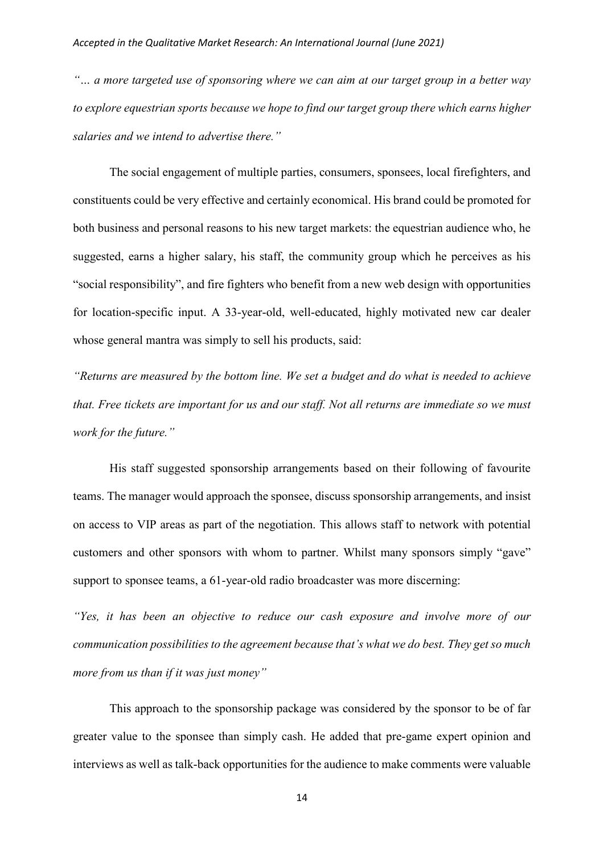*"… a more targeted use of sponsoring where we can aim at our target group in a better way to explore equestrian sports because we hope to find our target group there which earns higher salaries and we intend to advertise there."*

The social engagement of multiple parties, consumers, sponsees, local firefighters, and constituents could be very effective and certainly economical. His brand could be promoted for both business and personal reasons to his new target markets: the equestrian audience who, he suggested, earns a higher salary, his staff, the community group which he perceives as his "social responsibility", and fire fighters who benefit from a new web design with opportunities for location-specific input. A 33-year-old, well-educated, highly motivated new car dealer whose general mantra was simply to sell his products, said:

*"Returns are measured by the bottom line. We set a budget and do what is needed to achieve that. Free tickets are important for us and our staff. Not all returns are immediate so we must work for the future."*

His staff suggested sponsorship arrangements based on their following of favourite teams. The manager would approach the sponsee, discuss sponsorship arrangements, and insist on access to VIP areas as part of the negotiation. This allows staff to network with potential customers and other sponsors with whom to partner. Whilst many sponsors simply "gave" support to sponsee teams, a 61-year-old radio broadcaster was more discerning:

*"Yes, it has been an objective to reduce our cash exposure and involve more of our communication possibilities to the agreement because that's what we do best. They get so much more from us than if it was just money"*

This approach to the sponsorship package was considered by the sponsor to be of far greater value to the sponsee than simply cash. He added that pre-game expert opinion and interviews as well as talk-back opportunities for the audience to make comments were valuable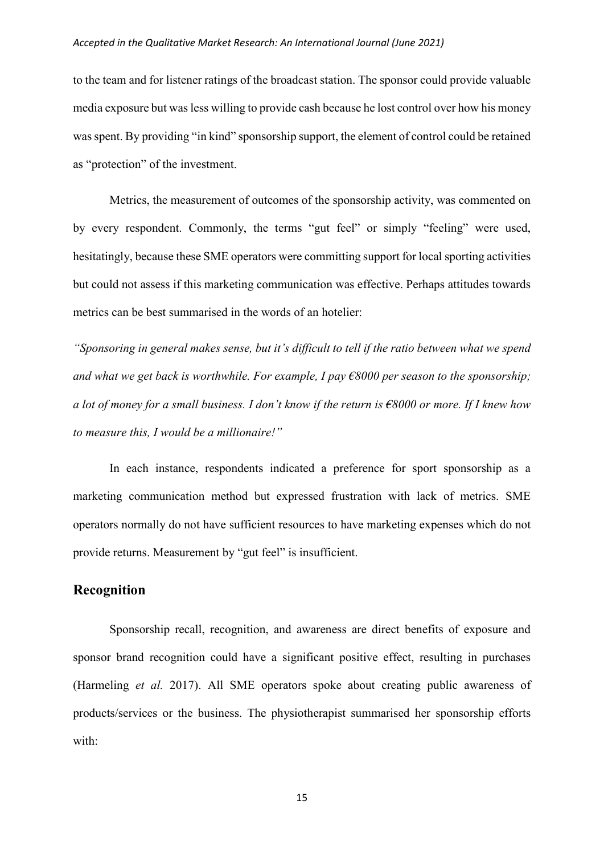to the team and for listener ratings of the broadcast station. The sponsor could provide valuable media exposure but was less willing to provide cash because he lost control over how his money was spent. By providing "in kind" sponsorship support, the element of control could be retained as "protection" of the investment.

Metrics, the measurement of outcomes of the sponsorship activity, was commented on by every respondent. Commonly, the terms "gut feel" or simply "feeling" were used, hesitatingly, because these SME operators were committing support for local sporting activities but could not assess if this marketing communication was effective. Perhaps attitudes towards metrics can be best summarised in the words of an hotelier:

*"Sponsoring in general makes sense, but it's difficult to tell if the ratio between what we spend and what we get back is worthwhile. For example, I pay €8000 per season to the sponsorship; a lot of money for a small business. I don't know if the return is €8000 or more. If I knew how to measure this, I would be a millionaire!"*

In each instance, respondents indicated a preference for sport sponsorship as a marketing communication method but expressed frustration with lack of metrics. SME operators normally do not have sufficient resources to have marketing expenses which do not provide returns. Measurement by "gut feel" is insufficient.

## **Recognition**

Sponsorship recall, recognition, and awareness are direct benefits of exposure and sponsor brand recognition could have a significant positive effect, resulting in purchases (Harmeling *et al.* 2017). All SME operators spoke about creating public awareness of products/services or the business. The physiotherapist summarised her sponsorship efforts with: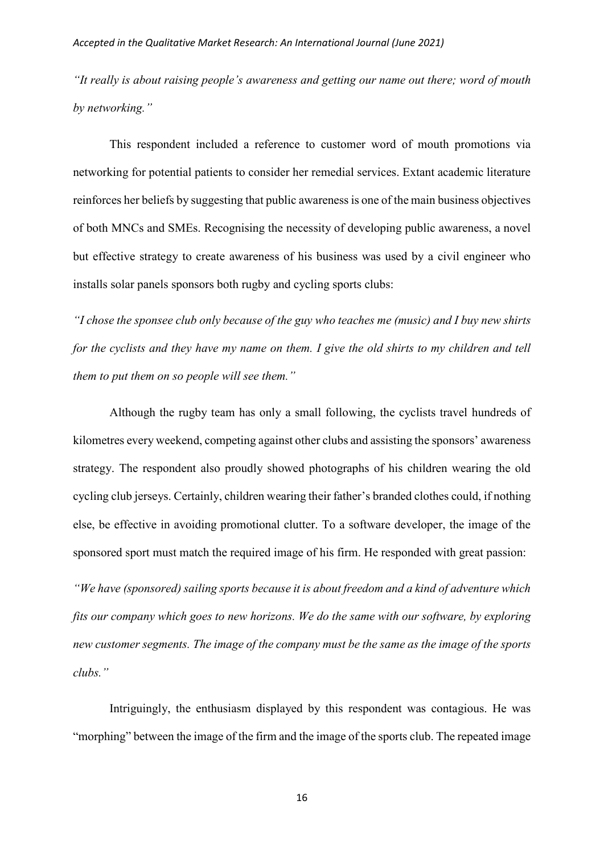*"It really is about raising people's awareness and getting our name out there; word of mouth by networking."*

This respondent included a reference to customer word of mouth promotions via networking for potential patients to consider her remedial services. Extant academic literature reinforces her beliefs by suggesting that public awareness is one of the main business objectives of both MNCs and SMEs. Recognising the necessity of developing public awareness, a novel but effective strategy to create awareness of his business was used by a civil engineer who installs solar panels sponsors both rugby and cycling sports clubs:

*"I chose the sponsee club only because of the guy who teaches me (music) and I buy new shirts for the cyclists and they have my name on them. I give the old shirts to my children and tell them to put them on so people will see them."*

Although the rugby team has only a small following, the cyclists travel hundreds of kilometres every weekend, competing against other clubs and assisting the sponsors' awareness strategy. The respondent also proudly showed photographs of his children wearing the old cycling club jerseys. Certainly, children wearing their father's branded clothes could, if nothing else, be effective in avoiding promotional clutter. To a software developer, the image of the sponsored sport must match the required image of his firm. He responded with great passion:

*"We have (sponsored) sailing sports because it is about freedom and a kind of adventure which fits our company which goes to new horizons. We do the same with our software, by exploring new customer segments. The image of the company must be the same as the image of the sports clubs."*

Intriguingly, the enthusiasm displayed by this respondent was contagious. He was "morphing" between the image of the firm and the image of the sports club. The repeated image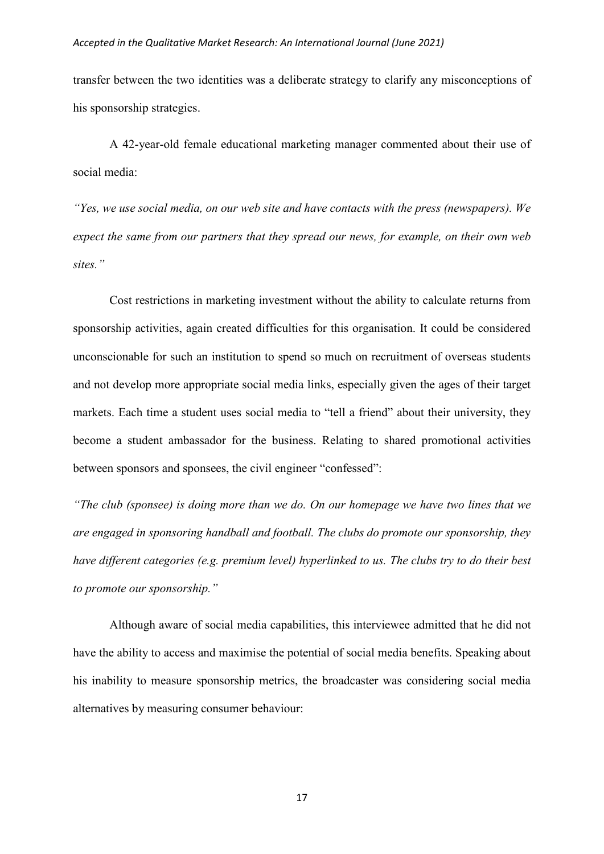transfer between the two identities was a deliberate strategy to clarify any misconceptions of his sponsorship strategies.

A 42-year-old female educational marketing manager commented about their use of social media:

*"Yes, we use social media, on our web site and have contacts with the press (newspapers). We expect the same from our partners that they spread our news, for example, on their own web sites."*

Cost restrictions in marketing investment without the ability to calculate returns from sponsorship activities, again created difficulties for this organisation. It could be considered unconscionable for such an institution to spend so much on recruitment of overseas students and not develop more appropriate social media links, especially given the ages of their target markets. Each time a student uses social media to "tell a friend" about their university, they become a student ambassador for the business. Relating to shared promotional activities between sponsors and sponsees, the civil engineer "confessed":

*"The club (sponsee) is doing more than we do. On our homepage we have two lines that we are engaged in sponsoring handball and football. The clubs do promote our sponsorship, they have different categories (e.g. premium level) hyperlinked to us. The clubs try to do their best to promote our sponsorship."*

Although aware of social media capabilities, this interviewee admitted that he did not have the ability to access and maximise the potential of social media benefits. Speaking about his inability to measure sponsorship metrics, the broadcaster was considering social media alternatives by measuring consumer behaviour: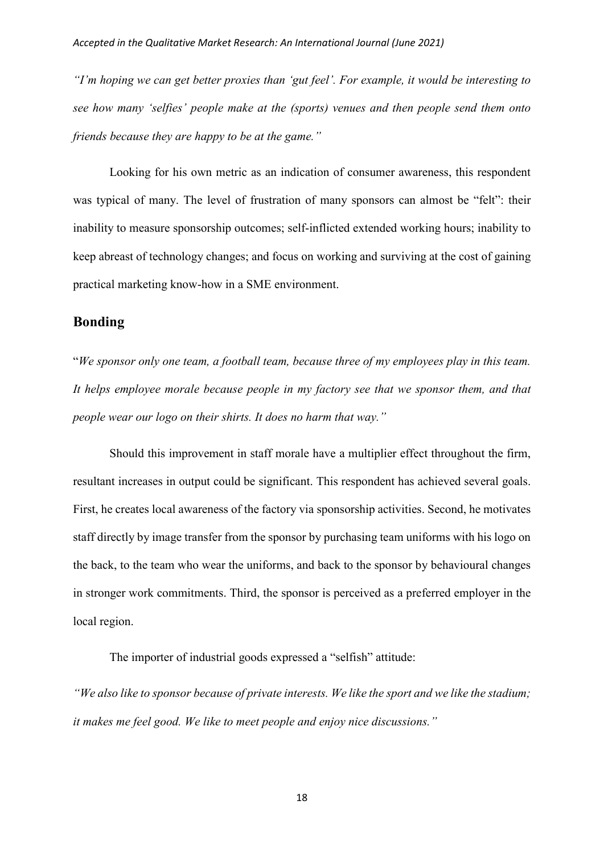*"I'm hoping we can get better proxies than 'gut feel'. For example, it would be interesting to see how many 'selfies' people make at the (sports) venues and then people send them onto friends because they are happy to be at the game."*

Looking for his own metric as an indication of consumer awareness, this respondent was typical of many. The level of frustration of many sponsors can almost be "felt": their inability to measure sponsorship outcomes; self-inflicted extended working hours; inability to keep abreast of technology changes; and focus on working and surviving at the cost of gaining practical marketing know-how in a SME environment.

# **Bonding**

"*We sponsor only one team, a football team, because three of my employees play in this team. It helps employee morale because people in my factory see that we sponsor them, and that people wear our logo on their shirts. It does no harm that way."*

Should this improvement in staff morale have a multiplier effect throughout the firm, resultant increases in output could be significant. This respondent has achieved several goals. First, he creates local awareness of the factory via sponsorship activities. Second, he motivates staff directly by image transfer from the sponsor by purchasing team uniforms with his logo on the back, to the team who wear the uniforms, and back to the sponsor by behavioural changes in stronger work commitments. Third, the sponsor is perceived as a preferred employer in the local region.

The importer of industrial goods expressed a "selfish" attitude:

*"We also like to sponsor because of private interests. We like the sport and we like the stadium; it makes me feel good. We like to meet people and enjoy nice discussions."*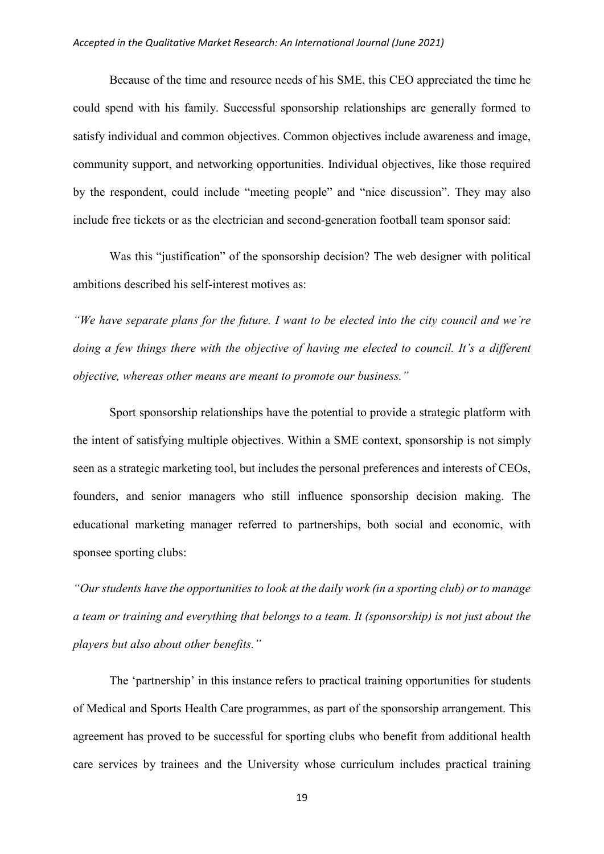Because of the time and resource needs of his SME, this CEO appreciated the time he could spend with his family. Successful sponsorship relationships are generally formed to satisfy individual and common objectives. Common objectives include awareness and image, community support, and networking opportunities. Individual objectives, like those required by the respondent, could include "meeting people" and "nice discussion". They may also include free tickets or as the electrician and second-generation football team sponsor said:

Was this "justification" of the sponsorship decision? The web designer with political ambitions described his self-interest motives as:

*"We have separate plans for the future. I want to be elected into the city council and we're doing a few things there with the objective of having me elected to council. It's a different objective, whereas other means are meant to promote our business."*

Sport sponsorship relationships have the potential to provide a strategic platform with the intent of satisfying multiple objectives. Within a SME context, sponsorship is not simply seen as a strategic marketing tool, but includes the personal preferences and interests of CEOs, founders, and senior managers who still influence sponsorship decision making. The educational marketing manager referred to partnerships, both social and economic, with sponsee sporting clubs:

*"Our students have the opportunities to look at the daily work (in a sporting club) or to manage a team or training and everything that belongs to a team. It (sponsorship) is not just about the players but also about other benefits."*

The 'partnership' in this instance refers to practical training opportunities for students of Medical and Sports Health Care programmes, as part of the sponsorship arrangement. This agreement has proved to be successful for sporting clubs who benefit from additional health care services by trainees and the University whose curriculum includes practical training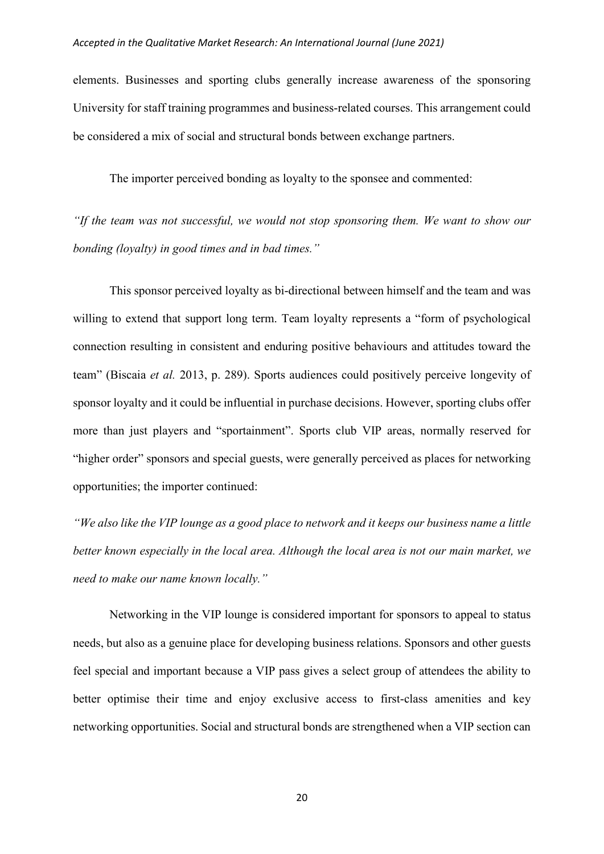elements. Businesses and sporting clubs generally increase awareness of the sponsoring University for staff training programmes and business-related courses. This arrangement could be considered a mix of social and structural bonds between exchange partners.

The importer perceived bonding as loyalty to the sponsee and commented:

*"If the team was not successful, we would not stop sponsoring them. We want to show our bonding (loyalty) in good times and in bad times."*

This sponsor perceived loyalty as bi-directional between himself and the team and was willing to extend that support long term. Team loyalty represents a "form of psychological connection resulting in consistent and enduring positive behaviours and attitudes toward the team" (Biscaia *et al.* 2013, p. 289). Sports audiences could positively perceive longevity of sponsor loyalty and it could be influential in purchase decisions. However, sporting clubs offer more than just players and "sportainment". Sports club VIP areas, normally reserved for "higher order" sponsors and special guests, were generally perceived as places for networking opportunities; the importer continued:

*"We also like the VIP lounge as a good place to network and it keeps our business name a little better known especially in the local area. Although the local area is not our main market, we need to make our name known locally."*

Networking in the VIP lounge is considered important for sponsors to appeal to status needs, but also as a genuine place for developing business relations. Sponsors and other guests feel special and important because a VIP pass gives a select group of attendees the ability to better optimise their time and enjoy exclusive access to first-class amenities and key networking opportunities. Social and structural bonds are strengthened when a VIP section can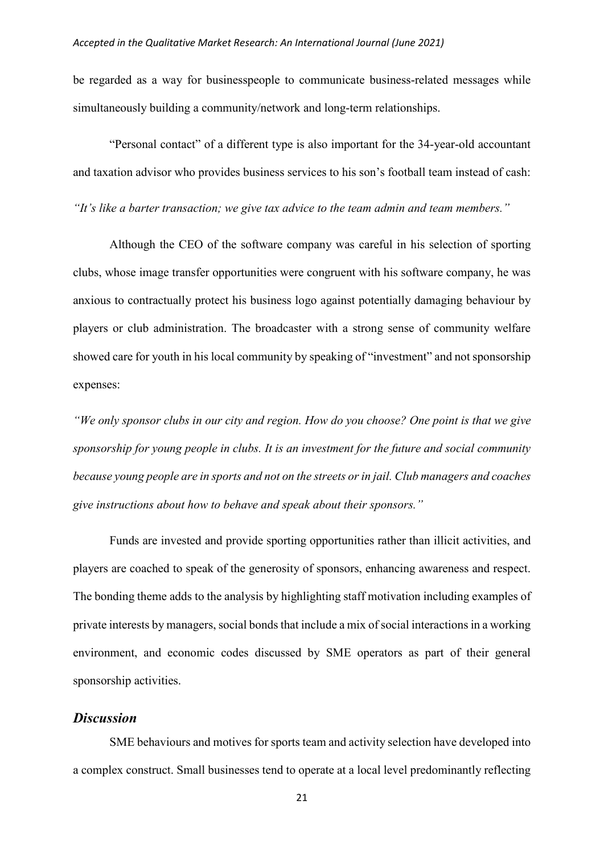be regarded as a way for businesspeople to communicate business-related messages while simultaneously building a community/network and long-term relationships.

"Personal contact" of a different type is also important for the 34-year-old accountant and taxation advisor who provides business services to his son's football team instead of cash:

*"It's like a barter transaction; we give tax advice to the team admin and team members."*

Although the CEO of the software company was careful in his selection of sporting clubs, whose image transfer opportunities were congruent with his software company, he was anxious to contractually protect his business logo against potentially damaging behaviour by players or club administration. The broadcaster with a strong sense of community welfare showed care for youth in his local community by speaking of "investment" and not sponsorship expenses:

*"We only sponsor clubs in our city and region. How do you choose? One point is that we give sponsorship for young people in clubs. It is an investment for the future and social community because young people are in sports and not on the streets or in jail. Club managers and coaches give instructions about how to behave and speak about their sponsors."*

Funds are invested and provide sporting opportunities rather than illicit activities, and players are coached to speak of the generosity of sponsors, enhancing awareness and respect. The bonding theme adds to the analysis by highlighting staff motivation including examples of private interests by managers, social bonds that include a mix of social interactions in a working environment, and economic codes discussed by SME operators as part of their general sponsorship activities.

# *Discussion*

SME behaviours and motives for sports team and activity selection have developed into a complex construct. Small businesses tend to operate at a local level predominantly reflecting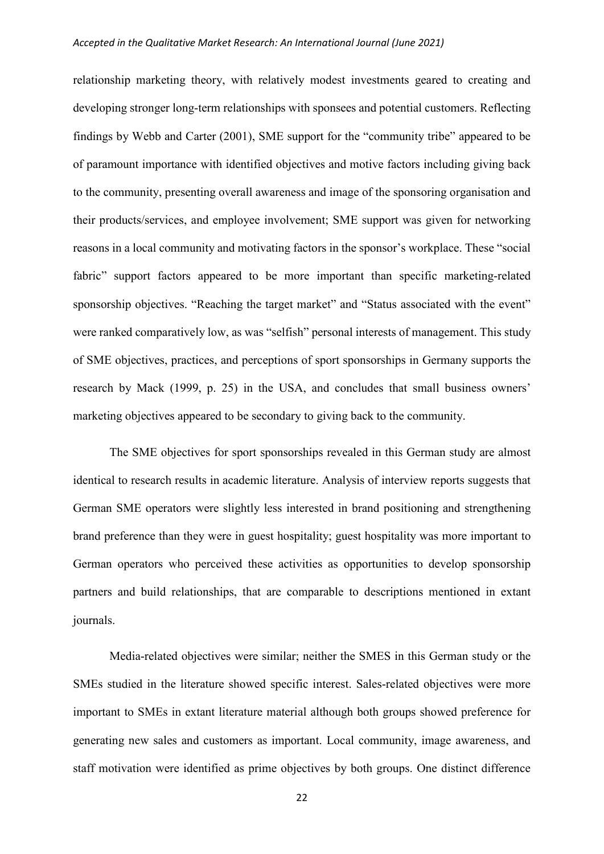relationship marketing theory, with relatively modest investments geared to creating and developing stronger long-term relationships with sponsees and potential customers. Reflecting findings by Webb and Carter (2001), SME support for the "community tribe" appeared to be of paramount importance with identified objectives and motive factors including giving back to the community, presenting overall awareness and image of the sponsoring organisation and their products/services, and employee involvement; SME support was given for networking reasons in a local community and motivating factors in the sponsor's workplace. These "social fabric" support factors appeared to be more important than specific marketing-related sponsorship objectives. "Reaching the target market" and "Status associated with the event" were ranked comparatively low, as was "selfish" personal interests of management. This study of SME objectives, practices, and perceptions of sport sponsorships in Germany supports the research by Mack (1999, p. 25) in the USA, and concludes that small business owners' marketing objectives appeared to be secondary to giving back to the community.

The SME objectives for sport sponsorships revealed in this German study are almost identical to research results in academic literature. Analysis of interview reports suggests that German SME operators were slightly less interested in brand positioning and strengthening brand preference than they were in guest hospitality; guest hospitality was more important to German operators who perceived these activities as opportunities to develop sponsorship partners and build relationships, that are comparable to descriptions mentioned in extant journals.

Media-related objectives were similar; neither the SMES in this German study or the SMEs studied in the literature showed specific interest. Sales-related objectives were more important to SMEs in extant literature material although both groups showed preference for generating new sales and customers as important. Local community, image awareness, and staff motivation were identified as prime objectives by both groups. One distinct difference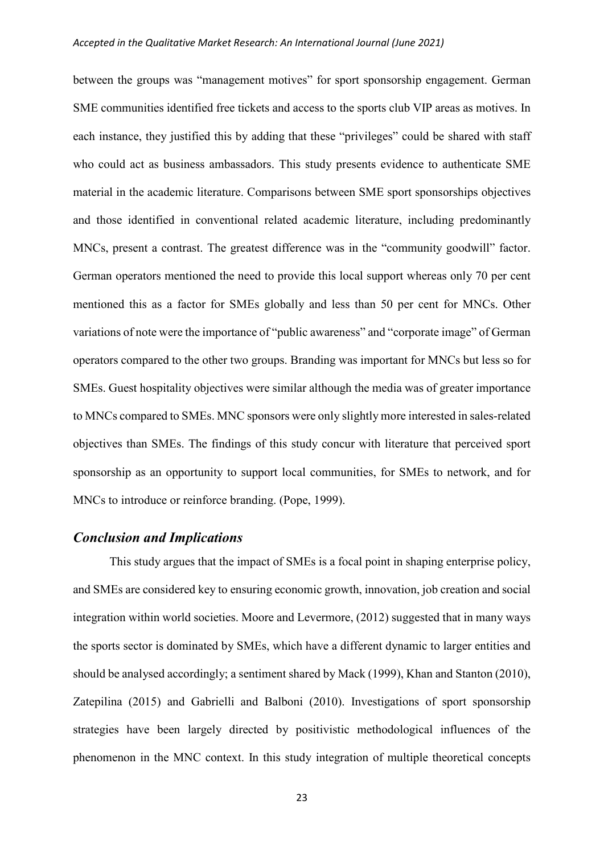between the groups was "management motives" for sport sponsorship engagement. German SME communities identified free tickets and access to the sports club VIP areas as motives. In each instance, they justified this by adding that these "privileges" could be shared with staff who could act as business ambassadors. This study presents evidence to authenticate SME material in the academic literature. Comparisons between SME sport sponsorships objectives and those identified in conventional related academic literature, including predominantly MNCs, present a contrast. The greatest difference was in the "community goodwill" factor. German operators mentioned the need to provide this local support whereas only 70 per cent mentioned this as a factor for SMEs globally and less than 50 per cent for MNCs. Other variations of note were the importance of "public awareness" and "corporate image" of German operators compared to the other two groups. Branding was important for MNCs but less so for SMEs. Guest hospitality objectives were similar although the media was of greater importance to MNCs compared to SMEs. MNC sponsors were only slightly more interested in sales-related objectives than SMEs. The findings of this study concur with literature that perceived sport sponsorship as an opportunity to support local communities, for SMEs to network, and for MNCs to introduce or reinforce branding. (Pope, 1999).

## *Conclusion and Implications*

This study argues that the impact of SMEs is a focal point in shaping enterprise policy, and SMEs are considered key to ensuring economic growth, innovation, job creation and social integration within world societies. Moore and Levermore, (2012) suggested that in many ways the sports sector is dominated by SMEs, which have a different dynamic to larger entities and should be analysed accordingly; a sentiment shared by Mack (1999)[, Khan and Stanton](about:blank) (2010), Zatepilina (2015) and Gabrielli and Balboni (2010). Investigations of sport sponsorship strategies have been largely directed by positivistic methodological influences of the phenomenon in the MNC context. In this study integration of multiple theoretical concepts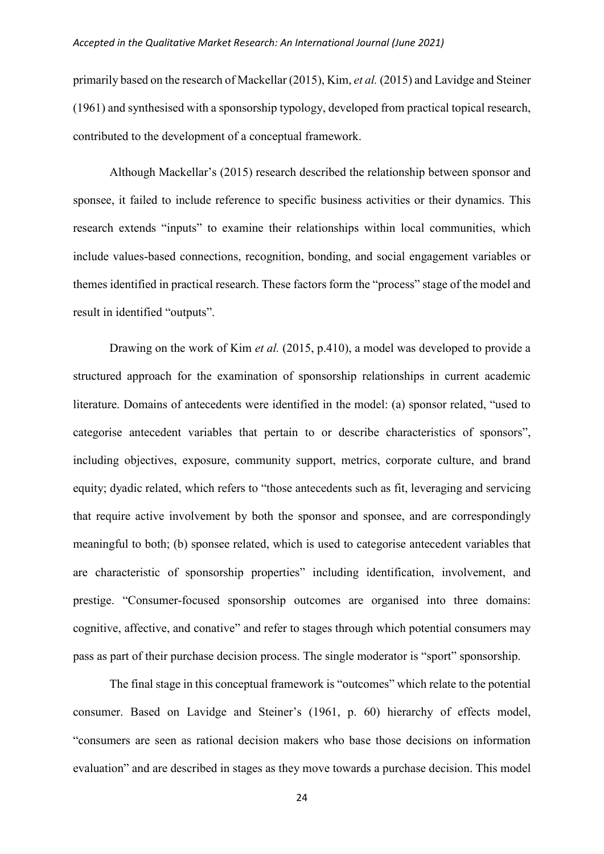primarily based on the research of Mackellar (2015), Kim, *et al.* (2015) and Lavidge and Steiner (1961) and synthesised with a sponsorship typology, developed from practical topical research, contributed to the development of a conceptual framework.

Although Mackellar's (2015) research described the relationship between sponsor and sponsee, it failed to include reference to specific business activities or their dynamics. This research extends "inputs" to examine their relationships within local communities, which include values-based connections, recognition, bonding, and social engagement variables or themes identified in practical research. These factors form the "process" stage of the model and result in identified "outputs".

Drawing on the work of Kim *et al.* (2015, p.410), a model was developed to provide a structured approach for the examination of sponsorship relationships in current academic literature. Domains of antecedents were identified in the model: (a) sponsor related, "used to categorise antecedent variables that pertain to or describe characteristics of sponsors", including objectives, exposure, community support, metrics, corporate culture, and brand equity; dyadic related, which refers to "those antecedents such as fit, leveraging and servicing that require active involvement by both the sponsor and sponsee, and are correspondingly meaningful to both; (b) sponsee related, which is used to categorise antecedent variables that are characteristic of sponsorship properties" including identification, involvement, and prestige. "Consumer-focused sponsorship outcomes are organised into three domains: cognitive, affective, and conative" and refer to stages through which potential consumers may pass as part of their purchase decision process. The single moderator is "sport" sponsorship.

The final stage in this conceptual framework is "outcomes" which relate to the potential consumer. Based on Lavidge and Steiner's (1961, p. 60) hierarchy of effects model, "consumers are seen as rational decision makers who base those decisions on information evaluation" and are described in stages as they move towards a purchase decision. This model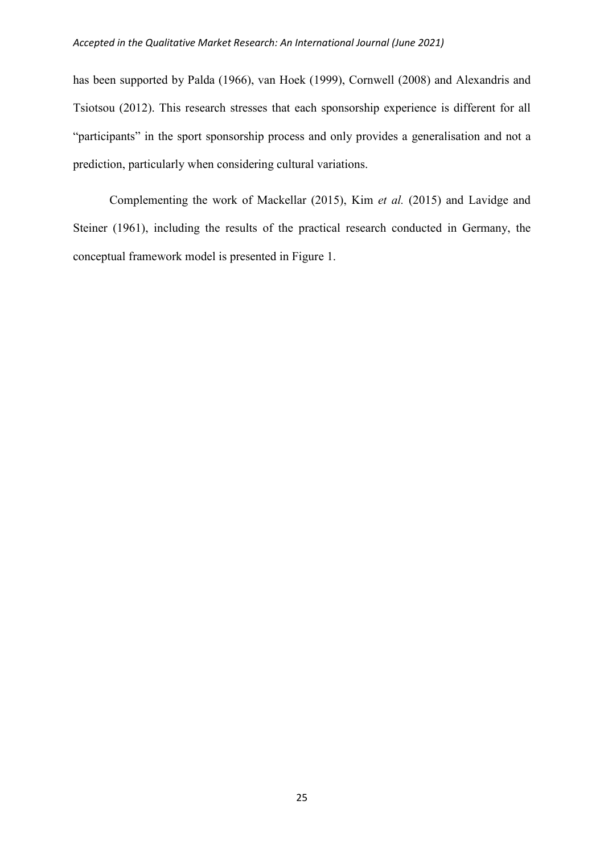has been supported by Palda (1966), van Hoek (1999), Cornwell (2008) and Alexandris and Tsiotsou (2012). This research stresses that each sponsorship experience is different for all "participants" in the sport sponsorship process and only provides a generalisation and not a prediction, particularly when considering cultural variations.

Complementing the work of Mackellar (2015), Kim *et al.* (2015) and Lavidge and Steiner (1961), including the results of the practical research conducted in Germany, the conceptual framework model is presented in Figure 1.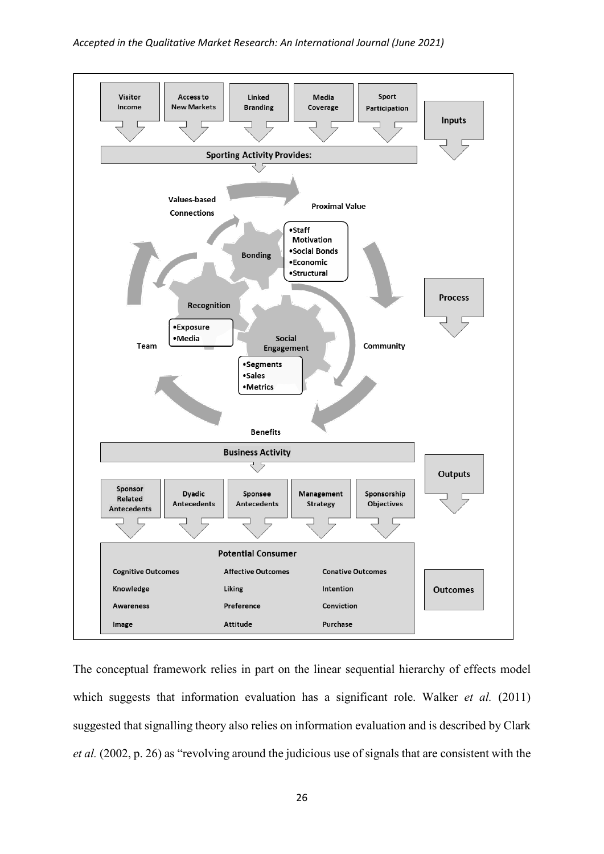

The conceptual framework relies in part on the linear sequential hierarchy of effects model which suggests that information evaluation has a significant role. Walker *et al.* (2011) suggested that signalling theory also relies on information evaluation and is described by Clark *et al.* (2002, p. 26) as "revolving around the judicious use of signals that are consistent with the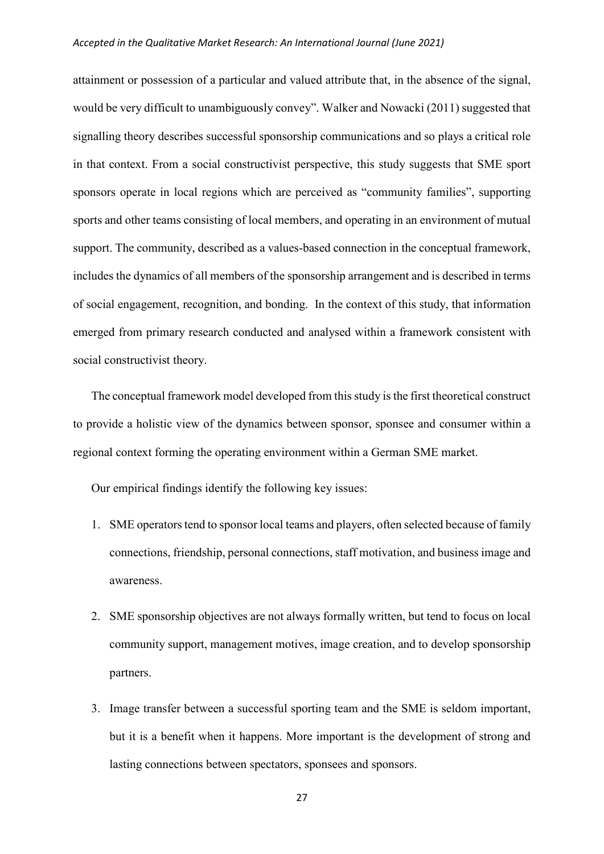attainment or possession of a particular and valued attribute that, in the absence of the signal, would be very difficult to unambiguously convey". Walker and Nowacki (2011) suggested that signalling theory describes successful sponsorship communications and so plays a critical role in that context. From a social constructivist perspective, this study suggests that SME sport sponsors operate in local regions which are perceived as "community families", supporting sports and other teams consisting of local members, and operating in an environment of mutual support. The community, described as a values-based connection in the conceptual framework, includes the dynamics of all members of the sponsorship arrangement and is described in terms of social engagement, recognition, and bonding. In the context of this study, that information emerged from primary research conducted and analysed within a framework consistent with social constructivist theory.

The conceptual framework model developed from this study is the first theoretical construct to provide a holistic view of the dynamics between sponsor, sponsee and consumer within a regional context forming the operating environment within a German SME market.

Our empirical findings identify the following key issues:

- 1. SME operators tend to sponsor local teams and players, often selected because of family connections, friendship, personal connections, staff motivation, and business image and awareness.
- 2. SME sponsorship objectives are not always formally written, but tend to focus on local community support, management motives, image creation, and to develop sponsorship partners.
- 3. Image transfer between a successful sporting team and the SME is seldom important, but it is a benefit when it happens. More important is the development of strong and lasting connections between spectators, sponsees and sponsors.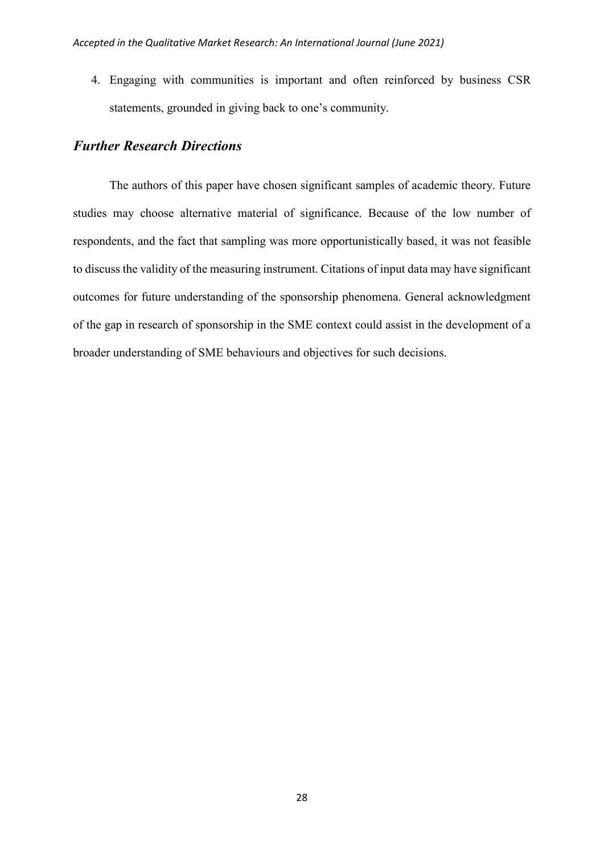4. Engaging with communities is important and often reinforced by business CSR statements, grounded in giving back to one's community.

## *Further Research Directions*

The authors of this paper have chosen significant samples of academic theory. Future studies may choose alternative material of significance. Because of the low number of respondents, and the fact that sampling was more opportunistically based, it was not feasible to discuss the validity of the measuring instrument. Citations of input data may have significant outcomes for future understanding of the sponsorship phenomena. General acknowledgment of the gap in research of sponsorship in the SME context could assist in the development of a broader understanding of SME behaviours and objectives for such decisions.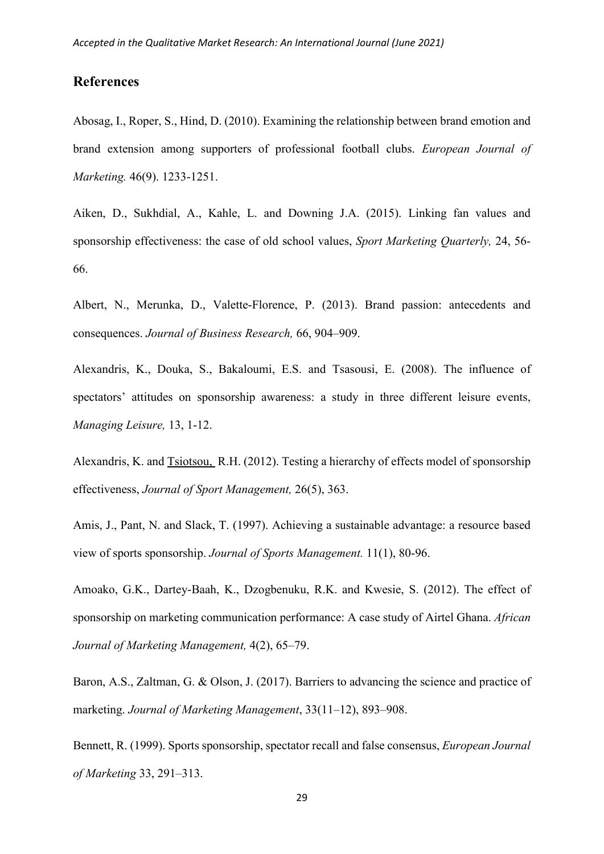## **References**

Abosag, I., Roper, S., Hind, D. (2010). Examining the relationship between brand emotion and brand extension among supporters of professional football clubs. *European Journal of Marketing.* 46(9). 1233-1251.

Aiken, D., Sukhdial, A., Kahle, L. and Downing J.A. (2015). Linking fan values and sponsorship effectiveness: the case of old school values, *Sport Marketing Quarterly,* 24, 56- 66.

Albert, N., Merunka, D., Valette-Florence, P. (2013). Brand passion: antecedents and consequences. *Journal of Business Research,* 66, 904–909.

Alexandris, K., Douka, S., Bakaloumi, E.S. and Tsasousi, E. (2008). The influence of spectators' attitudes on sponsorship awareness: a study in three different leisure events, *Managing Leisure,* 13, 1-12.

[Alexandris, K.](about:blank) and [Tsiotsou,](about:blank) R.H. (2012). Testing a hierarchy of effects model of sponsorship effectiveness, *[Journal of Sport](about:blank) Management,* 26(5), 363.

Amis, J., Pant, N. and Slack, T. (1997). Achieving a sustainable advantage: a resource based view of sports sponsorship. *Journal of Sports Management.* 11(1), 80-96.

Amoako, G.K., Dartey-Baah, K., Dzogbenuku, R.K. and Kwesie, S. (2012). The effect of sponsorship on marketing communication performance: A case study of Airtel Ghana. *African Journal of Marketing Management,* 4(2), 65–79.

Baron, A.S., Zaltman, G. & Olson, J. (2017). Barriers to advancing the science and practice of marketing. *Journal of Marketing Management*, 33(11–12), 893–908.

Bennett, R. (1999). Sports sponsorship, spectator recall and false consensus, *European Journal of Marketing* 33, 291–313.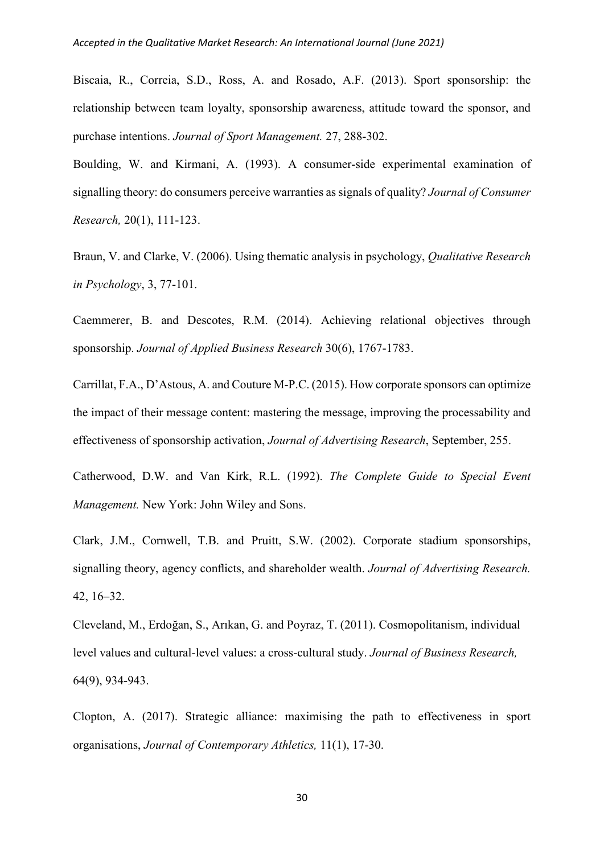Biscaia, R., Correia, S.D., Ross, A. and Rosado, A.F. (2013). Sport sponsorship: the relationship between team loyalty, sponsorship awareness, attitude toward the sponsor, and purchase intentions. *Journal of Sport Management.* 27, 288-302.

Boulding, W. and Kirmani, A. (1993). A consumer-side experimental examination of signalling theory: do consumers perceive warranties as signals of quality? *Journal of Consumer Research,* 20(1), 111-123.

Braun, V. and Clarke, V. (2006). Using thematic analysis in psychology, *Qualitative Research in Psychology*, 3, 77-101.

Caemmerer, B. and Descotes, R.M. (2014). Achieving relational objectives through sponsorship. *Journal of Applied Business Research* 30(6), 1767-1783.

Carrillat, F.A., D'Astous, A. and Couture M-P.C. (2015). How corporate sponsors can optimize the impact of their message content: mastering the message, improving the processability and effectiveness of sponsorship activation, *Journal of Advertising Research*, September, 255.

Catherwood, D.W. and Van Kirk, R.L. (1992). *The Complete Guide to Special Event Management.* New York: John Wiley and Sons.

Clark, J.M., Cornwell, T.B. and Pruitt, S.W. (2002). Corporate stadium sponsorships, signalling theory, agency conflicts, and shareholder wealth. *Journal of Advertising Research.* 42, 16–32.

Cleveland, M., Erdoğan, S., Arıkan, G. and Poyraz, T. (2011). Cosmopolitanism, individual level values and cultural-level values: a cross-cultural study. *Journal of Business Research,* 64(9), 934-943.

[Clopton, A. \(](about:blank)2017). Strategic alliance: maximising the path to effectiveness in sport organisations, *Journal [of Contemporary Athletics,](about:blank)* [11\(1\), 1](about:blank)7-30.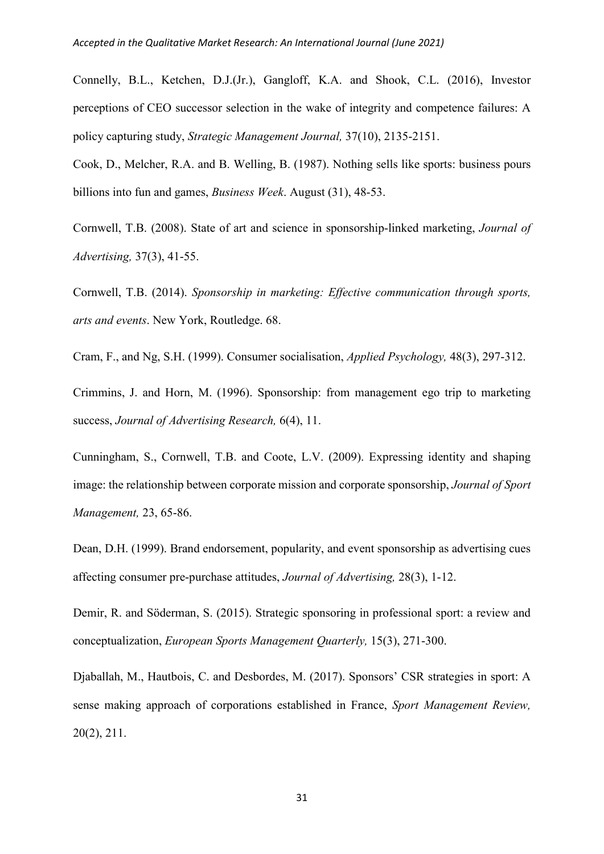Connelly, B.L., Ketchen, D.J.(Jr.), Gangloff, K.A. and Shook, C.L. (2016), Investor perceptions of CEO successor selection in the wake of integrity and competence failures: A policy capturing study, *Strategic Management Journal,* 37(10), 2135-2151.

Cook, D., Melcher, R.A. and B. Welling, B. (1987). Nothing sells like sports: business pours billions into fun and games, *Business Week*. August (31), 48-53.

Cornwell, T.B. (2008). State of art and science in sponsorship-linked marketing, *Journal of Advertising,* 37(3), 41-55.

Cornwell, T.B. (2014). *Sponsorship in marketing: Effective communication through sports, arts and events*. New York, Routledge. 68.

Cram, F., and Ng, S.H. (1999). Consumer socialisation, *Applied Psychology,* 48(3), 297-312.

Crimmins, J. and Horn, M. (1996). Sponsorship: from management ego trip to marketing success, *Journal of Advertising Research,* 6(4), 11.

Cunningham, S., Cornwell, T.B. and Coote, L.V. (2009). Expressing identity and shaping image: the relationship between corporate mission and corporate sponsorship, *Journal of Sport Management,* 23, 65-86.

Dean, D.H. (1999). Brand endorsement, popularity, and event sponsorship as advertising cues affecting consumer pre-purchase attitudes, *Journal of Advertising,* 28(3), 1-12.

Demir, R. and Söderman, S. (2015). Strategic sponsoring in professional sport: a review and conceptualization, *European Sports Management Quarterly,* 15(3), 271-300.

Djaballah, M., Hautbois, C. and Desbordes, M. (2017). Sponsors' CSR strategies in sport: A sense making approach of corporations established in France, *Sport Management Review,* 20(2), 211.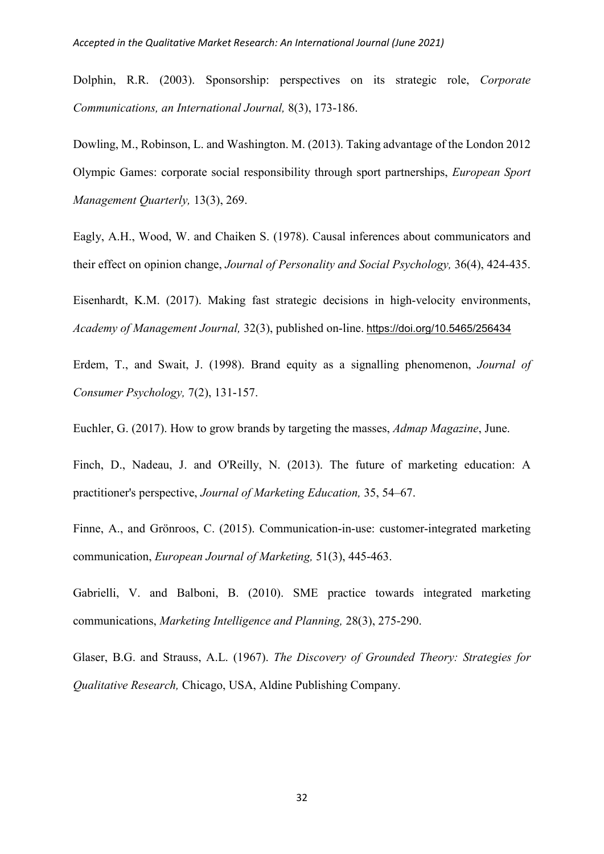Dolphin, R.R. (2003). Sponsorship: perspectives on its strategic role, *Corporate Communications, an International Journal,* 8(3), 173-186.

Dowling, M., Robinson, L. and Washington. M. (2013). Taking advantage of the London 2012 Olympic Games: corporate social responsibility through sport partnerships, *European Sport Management Quarterly,* 13(3), 269.

Eagly, A.H., Wood, W. and Chaiken S. (1978). Causal inferences about communicators and their effect on opinion change, *Journal of Personality and Social Psychology,* 36(4), 424-435.

Eisenhardt, K.M. (2017). Making fast strategic decisions in high-velocity environments, *Academy of Management Journal,* 32(3), published on-line. <https://doi.org/10.5465/256434>

Erdem, T., and Swait, J. (1998). Brand equity as a signalling phenomenon, *Journal of Consumer Psychology,* 7(2), 131-157.

Euchler, G. (2017). How to grow brands by targeting the masses, *Admap Magazine*, June.

Finch, D., Nadeau, J. and O'Reilly, N. (2013). The future of marketing education: A practitioner's perspective, *Journal of Marketing Education,* 35, 54–67.

Finne, A., and Grönroos, C. (2015). Communication-in-use: customer-integrated marketing communication, *European Journal of Marketing,* 51(3), 445-463.

Gabrielli, V. and Balboni, B. (2010). SME practice towards integrated marketing communications, *Marketing Intelligence and Planning,* 28(3), 275-290.

Glaser, B.G. and Strauss, A.L. (1967). *The Discovery of Grounded Theory: Strategies for Qualitative Research,* Chicago, USA, Aldine Publishing Company.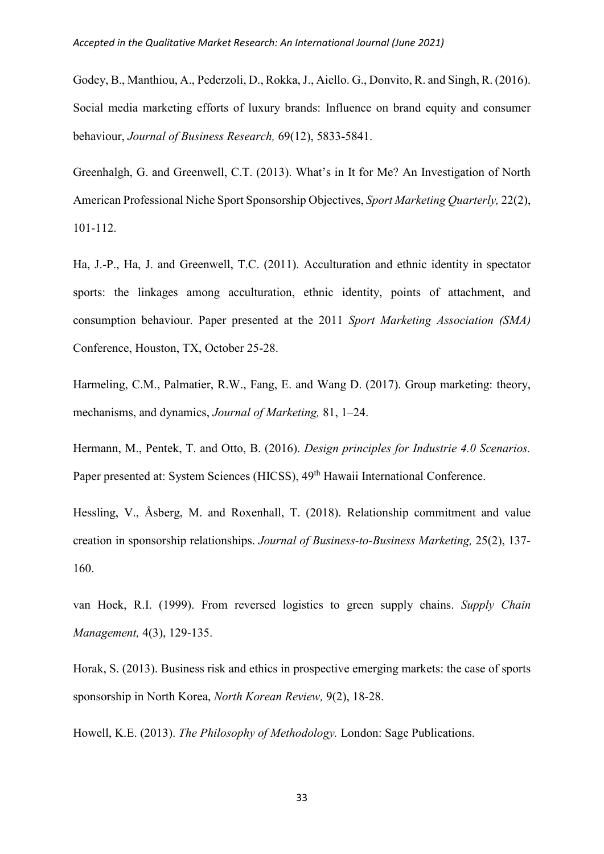Godey, B., Manthiou, A., Pederzoli, D., Rokka, J., Aiello. G., Donvito, R. and Singh, R. (2016). Social media marketing efforts of luxury brands: Influence on brand equity and consumer behaviour, *Journal of Business Research,* 69(12), 5833-5841.

Greenhalgh, G. and Greenwell, C.T. (2013). What's in It for Me? An Investigation of North American Professional Niche Sport Sponsorship Objectives, *Sport Marketing Quarterly,* 22(2), 101-112.

Ha, J.-P., Ha, J. and Greenwell, T.C. (2011). Acculturation and ethnic identity in spectator sports: the linkages among acculturation, ethnic identity, points of attachment, and consumption behaviour. Paper presented at the 2011 *Sport Marketing Association (SMA)* Conference, Houston, TX, October 25-28.

Harmeling, C.M., Palmatier, R.W., Fang, E. and Wang D. (2017). Group marketing: theory, mechanisms, and dynamics, *Journal of Marketing,* 81, 1–24.

Hermann, M., Pentek, T. and Otto, B. (2016). *Design principles for Industrie 4.0 Scenarios.* Paper presented at: System Sciences (HICSS), 49<sup>th</sup> Hawaii International Conference.

Hessling, V., Åsberg, M. and Roxenhall, T. (2018). Relationship commitment and value creation in sponsorship relationships. *Journal of Business-to-Business Marketing,* 25(2), 137- 160.

van Hoek, R.I. (1999). From reversed logistics to green supply chains. *Supply Chain Management,* 4(3), 129-135.

Horak, S. (2013). Business risk and ethics in prospective emerging markets: the case of sports sponsorship in North Korea, *North Korean Review,* 9(2), 18-28.

Howell, K.E. (2013). *The Philosophy of Methodology.* London: Sage Publications.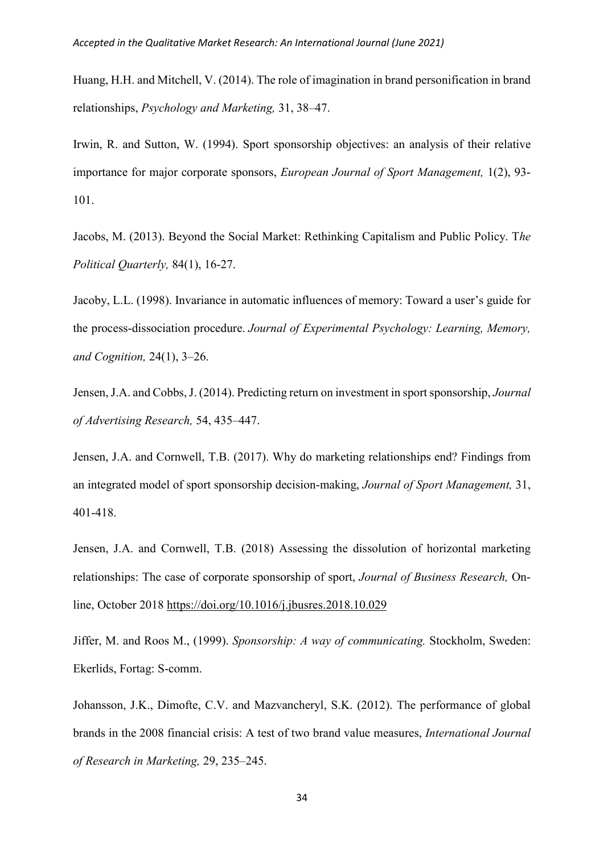Huang, H.H. and Mitchell, V. (2014). The role of imagination in brand personification in brand relationships, *Psychology and Marketing,* 31, 38–47.

Irwin, R. and Sutton, W. (1994). Sport sponsorship objectives: an analysis of their relative importance for major corporate sponsors, *European Journal of Sport Management,* 1(2), 93- 101.

Jacobs, M. (2013). Beyond the Social Market: Rethinking Capitalism and Public Policy. T*he Political Quarterly,* 84(1), 16-27.

Jacoby, L.L. (1998). Invariance in automatic influences of memory: Toward a user's guide for the process-dissociation procedure. *Journal of Experimental Psychology: Learning, Memory, and Cognition,* 24(1), 3–26.

Jensen, J.A. and Cobbs, J. (2014). Predicting return on investment in sport sponsorship, *Journal of Advertising Research,* 54, 435–447.

Jensen, J.A. and Cornwell, T.B. (2017). Why do marketing relationships end? Findings from an integrated model of sport sponsorship decision-making, *Journal of Sport Management,* 31, 401-418.

Jensen, J.A. and Cornwell, T.B. (2018) Assessing the dissolution of horizontal marketing relationships: The case of corporate sponsorship of sport, *Journal of Business Research,* Online, October 2018<https://doi.org/10.1016/j.jbusres.2018.10.029>

Jiffer, M. and Roos M., (1999). *Sponsorship: A way of communicating.* Stockholm, Sweden: Ekerlids, Fortag: S-comm.

Johansson, J.K., Dimofte, C.V. and Mazvancheryl, S.K. (2012). The performance of global brands in the 2008 financial crisis: A test of two brand value measures, *International Journal of Research in Marketing,* 29, 235–245.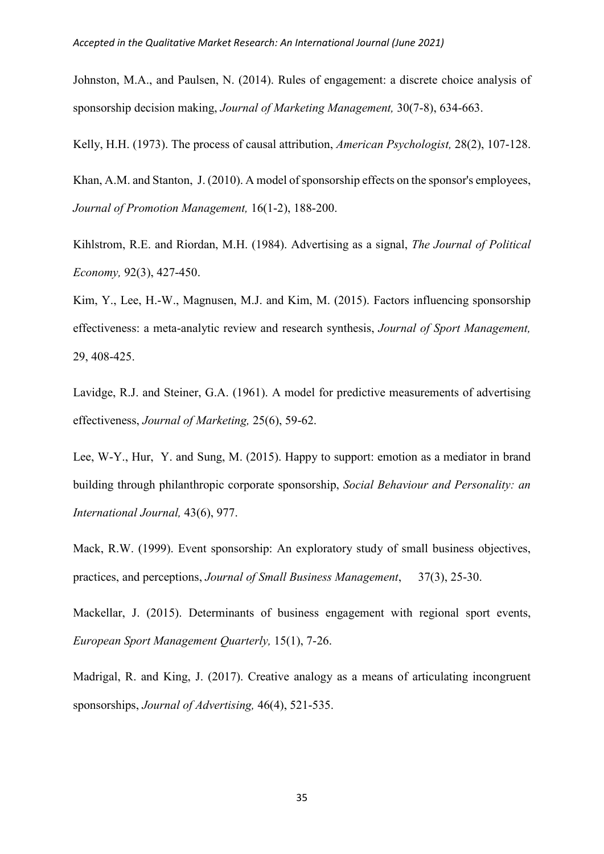Johnston, M.A., and Paulsen, N. (2014). Rules of engagement: a discrete choice analysis of sponsorship decision making, *Journal of Marketing Management,* 30(7-8), 634-663.

Kelly, H.H. (1973). The process of causal attribution, *American Psychologist,* 28(2), 107-128.

Khan, A.M. an[d Stanton, J](about:blank). (2010). A model of sponsorship effects on the sponsor's employees, *[Journal of Promotion Management,](about:blank)* 16(1-2), 188-200.

Kihlstrom, R.E. and Riordan, M.H. (1984). Advertising as a signal, *The Journal of Political Economy,* 92(3), 427-450.

Kim, Y., Lee, H.-W., Magnusen, M.J. and Kim, M. (2015). Factors influencing sponsorship effectiveness: a meta-analytic review and research synthesis, *Journal of Sport Management,*  29, 408-425.

Lavidge, R.J. and Steiner, G.A. (1961). A model for predictive measurements of advertising effectiveness, *Journal of Marketing,* 25(6), 59-62.

Lee, W-Y., [Hur,](about:blank) Y. and Sung, M. (2015). Happy to support: emotion as a mediator in brand building through philanthropic corporate sponsorship, *[Social Behaviour and Personality: an](about:blank)  [International Journal,](about:blank)* 43(6), 977.

Mack, R.W. (1999). Event sponsorship: An exploratory study of small business objectives, practices, and perceptions, *Journal of Small Business Management*, 37(3), 25-30.

Mackellar, J. (2015). Determinants of business engagement with regional sport events, *European Sport Management Quarterly,* 15(1), 7-26.

Madrigal, R. and King, J. (2017). Creative analogy as a means of articulating incongruent sponsorships, *Journal of Advertising,* 46(4), 521-535.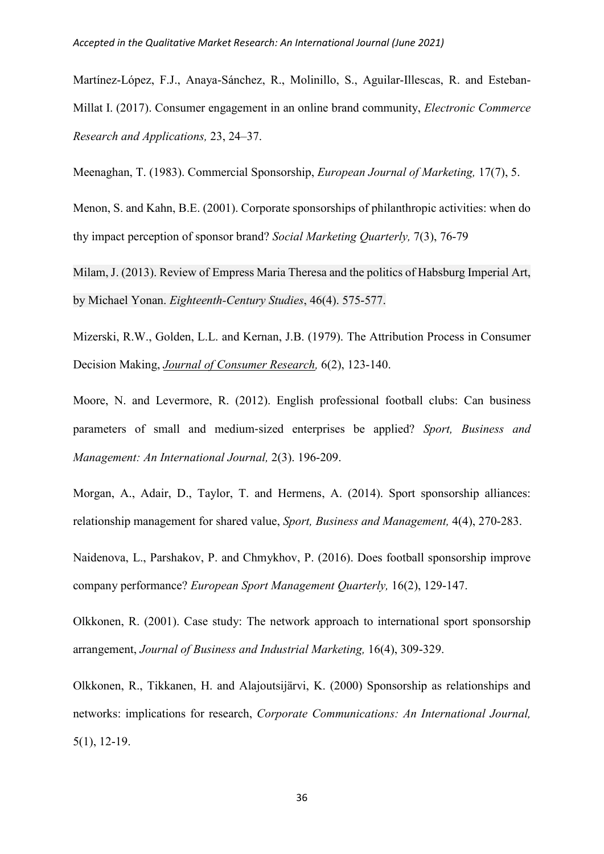Martínez-López, F.J., Anaya-Sánchez, R., Molinillo, S., Aguilar-Illescas, R. and Esteban-Millat I. (2017). Consumer engagement in an online brand community, *Electronic Commerce Research and Applications,* 23, 24–37.

Meenaghan, T. (1983). Commercial Sponsorship, *European Journal of Marketing,* 17(7), 5.

Menon, S. and Kahn, B.E. (2001). Corporate sponsorships of philanthropic activities: when do thy impact perception of sponsor brand? *Social Marketing Quarterly,* 7(3), 76-79

Milam, J. (2013). Review of Empress Maria Theresa and the politics of Habsburg Imperial Art, by Michael Yonan. *Eighteenth-Century Studies*, 46(4). 575-577.

Mizerski, R.W., Golden, L.L. and Kernan, J.B. (1979). The Attribution Process in Consumer Decision Making, *[Journal of Consumer Research,](about:blank)* 6(2), 123-140.

Moore, N. and Levermore, R. (2012). English professional football clubs: Can business parameters of small and medium‐sized enterprises be applied? *[Sport, Business and](about:blank)  [Management: An International Journal,](about:blank)* 2(3). 196-209.

Morgan, A., Adair, D., Taylor, T. [and](about:blank) [Hermens, A](about:blank). (2014). Sport sponsorship alliances: relationship management for shared value, *[Sport, Business and Management,](about:blank)* [4\(4\), 2](about:blank)70-283.

Naidenova, L., Parshakov, P. and Chmykhov, P. (2016). Does football sponsorship improve company performance? *European Sport Management Quarterly,* 16(2), 129-147.

Olkkonen, R. (2001). Case study: The network approach to international sport sponsorship arrangement, *Journal of Business and Industrial Marketing,* 16(4), 309-329.

Olkkonen, R., Tikkanen, H. and Alajoutsijärvi, K. (2000) Sponsorship as relationships and networks: implications for research, *Corporate Communications: An International Journal,*  5(1), 12-19.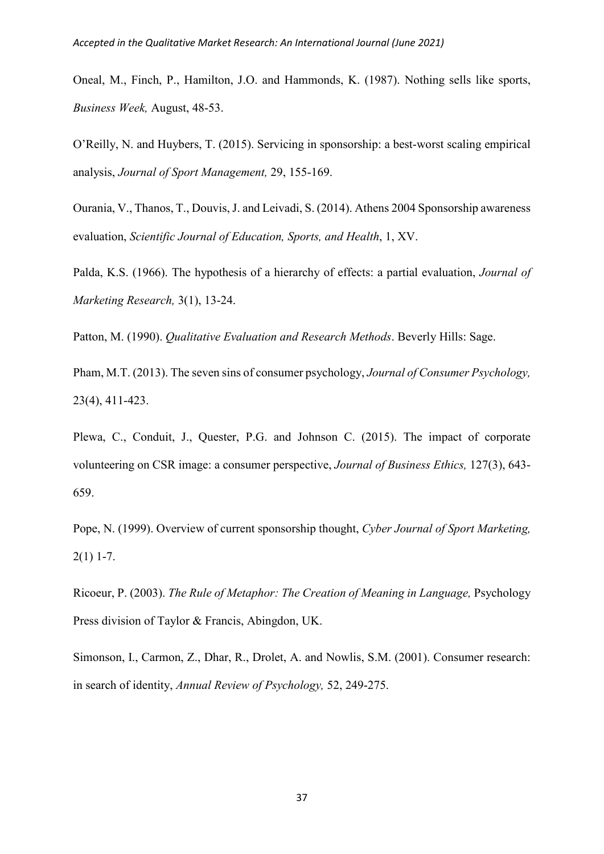Oneal, M., Finch, P., Hamilton, J.O. and Hammonds, K. (1987). Nothing sells like sports, *Business Week,* August, 48-53.

O'Reilly, N. and Huybers, T. (2015). Servicing in sponsorship: a best-worst scaling empirical analysis, *Journal of Sport Management,* 29, 155-169.

Ourania, V., Thanos, T., Douvis, J. and Leivadi, S. (2014). Athens 2004 Sponsorship awareness evaluation, *Scientific Journal of Education, Sports, and Health*, 1, XV.

Palda, K.S. (1966). The hypothesis of a hierarchy of effects: a partial evaluation, *Journal of Marketing Research,* 3(1), 13-24.

Patton, M. (1990). *Qualitative Evaluation and Research Methods*. Beverly Hills: Sage.

Pham, M.T. (2013). The seven sins of consumer psychology, *Journal of Consumer Psychology,*  23(4), 411-423.

Plewa, C., Conduit, J., Quester, P.G. and Johnson C. (2015). The impact of corporate volunteering on CSR image: a consumer perspective, *[Journal of Business Ethics,](about:blank)* 127[\(3\)](about:blank), 643- 659.

Pope, N. (1999). Overview of current sponsorship thought, *Cyber Journal of Sport Marketing,*  $2(1)$  1-7.

Ricoeur, P. (2003). *The Rule of Metaphor: The Creation of Meaning in Language,* Psychology Press division of Taylor & Francis, Abingdon, UK.

Simonson, I., Carmon, Z., Dhar, R., Drolet, A. and Nowlis, S.M. (2001). Consumer research: in search of identity, *Annual Review of Psychology,* 52, 249-275.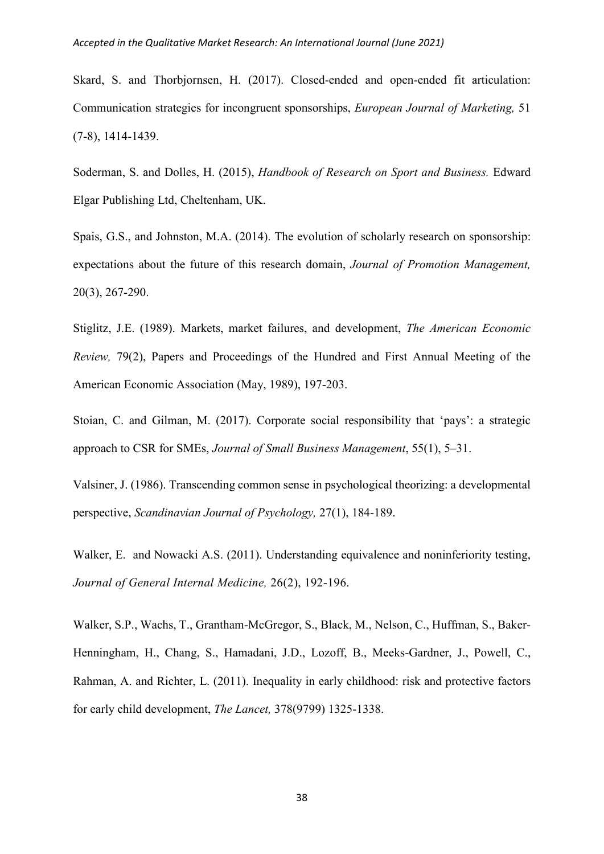Skard, S. and Thorbjornsen, H. (2017). Closed-ended and open-ended fit articulation: Communication strategies for incongruent sponsorships, *European Journal of Marketing,* 51 (7-8), 1414-1439.

Soderman, S. and Dolles, H. (2015), *Handbook of Research on Sport and Business.* [Edward](https://www.bookdepository.com/publishers/Edward-Elgar-Publishing-Ltd)  [Elgar Publishing Ltd,](https://www.bookdepository.com/publishers/Edward-Elgar-Publishing-Ltd) Cheltenham, UK.

Spais, G.S., and Johnston, M.A. (2014). The evolution of scholarly research on sponsorship: expectations about the future of this research domain, *Journal of Promotion Management,*  20(3), 267-290.

Stiglitz, J.E. (1989). Markets, market failures, and development, *The American Economic Review,* 79(2), Papers and Proceedings of the Hundred and First Annual Meeting of the American Economic Association (May, 1989), 197-203.

Stoian, C. and Gilman, M. (2017). Corporate social responsibility that 'pays': a strategic approach to CSR for SMEs, *Journal of Small Business Management*, 55(1), 5–31.

Valsiner, J. (1986). Transcending common sense in psychological theorizing: a developmental perspective, *Scandinavian Journal of Psychology,* 27(1), 184-189.

Walker, E. and Nowacki A.S. (2011). Understanding equivalence and noninferiority testing, *[Journal of General Internal Medicine,](https://link.springer.com/journal/11606)* 26(2), 192-196.

Walker, S.P., Wachs, T., Grantham-McGregor, S., Black, M., Nelson, C., Huffman, S., Baker-Henningham, H., Chang, S., Hamadani, J.D., Lozoff, B., Meeks-Gardner, J., Powell, C., Rahman, A. and Richter, L. (2011). Inequality in early childhood: risk and protective factors for early child development, *The Lancet,* 378(9799) 1325-1338.